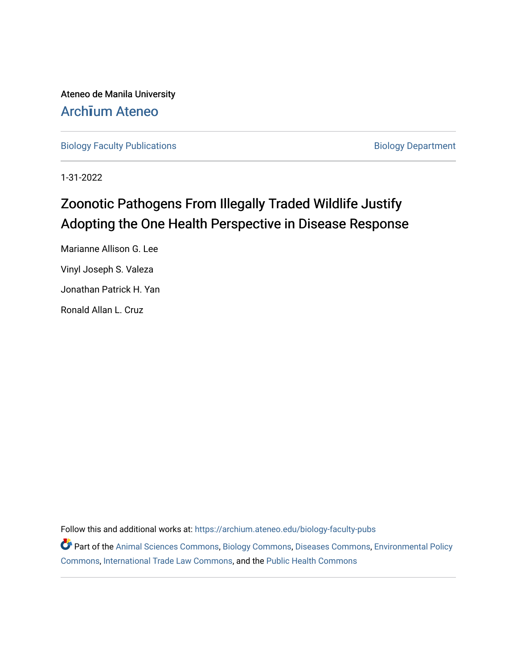Ateneo de Manila University Arch**ī**[um Ateneo](https://archium.ateneo.edu/) 

[Biology Faculty Publications](https://archium.ateneo.edu/biology-faculty-pubs) **Biology Department** 

1-31-2022

# Zoonotic Pathogens From Illegally Traded Wildlife Justify Adopting the One Health Perspective in Disease Response

Marianne Allison G. Lee Vinyl Joseph S. Valeza Jonathan Patrick H. Yan Ronald Allan L. Cruz

Follow this and additional works at: [https://archium.ateneo.edu/biology-faculty-pubs](https://archium.ateneo.edu/biology-faculty-pubs?utm_source=archium.ateneo.edu%2Fbiology-faculty-pubs%2F105&utm_medium=PDF&utm_campaign=PDFCoverPages) 

Part of the [Animal Sciences Commons,](http://network.bepress.com/hgg/discipline/76?utm_source=archium.ateneo.edu%2Fbiology-faculty-pubs%2F105&utm_medium=PDF&utm_campaign=PDFCoverPages) [Biology Commons](http://network.bepress.com/hgg/discipline/41?utm_source=archium.ateneo.edu%2Fbiology-faculty-pubs%2F105&utm_medium=PDF&utm_campaign=PDFCoverPages), [Diseases Commons,](http://network.bepress.com/hgg/discipline/813?utm_source=archium.ateneo.edu%2Fbiology-faculty-pubs%2F105&utm_medium=PDF&utm_campaign=PDFCoverPages) [Environmental Policy](http://network.bepress.com/hgg/discipline/1027?utm_source=archium.ateneo.edu%2Fbiology-faculty-pubs%2F105&utm_medium=PDF&utm_campaign=PDFCoverPages) [Commons](http://network.bepress.com/hgg/discipline/1027?utm_source=archium.ateneo.edu%2Fbiology-faculty-pubs%2F105&utm_medium=PDF&utm_campaign=PDFCoverPages), [International Trade Law Commons,](http://network.bepress.com/hgg/discipline/848?utm_source=archium.ateneo.edu%2Fbiology-faculty-pubs%2F105&utm_medium=PDF&utm_campaign=PDFCoverPages) and the [Public Health Commons](http://network.bepress.com/hgg/discipline/738?utm_source=archium.ateneo.edu%2Fbiology-faculty-pubs%2F105&utm_medium=PDF&utm_campaign=PDFCoverPages)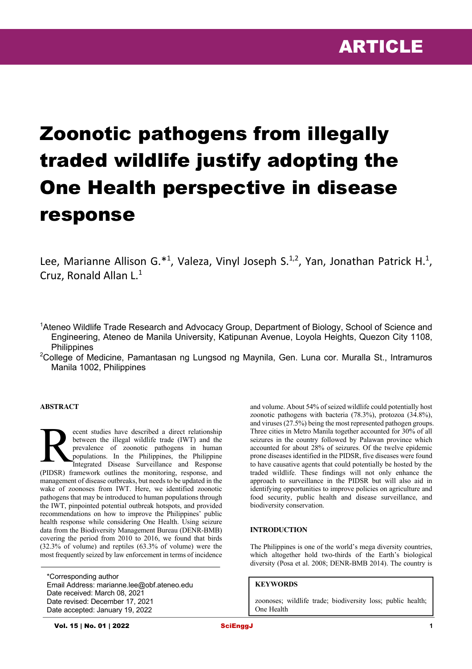# Zoonotic pathogens from illegally traded wildlife justify adopting the One Health perspective in disease response

Lee, Marianne Allison G.\*<sup>1</sup>, Valeza, Vinyl Joseph S.<sup>1,2</sup>, Yan, Jonathan Patrick H.<sup>1</sup>, Cruz, Ronald Allan L.1

<sup>1</sup>Ateneo Wildlife Trade Research and Advocacy Group, Department of Biology, School of Science and Engineering, Ateneo de Manila University, Katipunan Avenue, Loyola Heights, Quezon City 1108, **Philippines** 

<sup>2</sup>College of Medicine, Pamantasan ng Lungsod ng Maynila, Gen. Luna cor. Muralla St., Intramuros Manila 1002, Philippines

# **ABSTRACT**

ecent studies have described a direct relationship between the illegal wildlife trade (IWT) and the prevalence of zoonotic pathogens in human populations. In the Philippines, the Philippine Integrated Disease Surveillance and Response (PIDSR) framework outlines the monitoring, response, and management of disease outbreaks, but needs to be updated in the wake of zoonoses from IWT. Here, we identified zoonotic pathogens that may be introduced to human populations through the IWT, pinpointed potential outbreak hotspots, and provided recommendations on how to improve the Philippines' public health response while considering One Health. Using seizure data from the Biodiversity Management Bureau (DENR-BMB) covering the period from 2010 to 2016, we found that birds (32.3% of volume) and reptiles (63.3% of volume) were the most frequently seized by law enforcement in terms of incidence R

\*Corresponding author Email Address: marianne.lee@obf.ateneo.edu Date received: March 08, 2021 Date revised: December 17, 2021 Date accepted: January 19, 2022

and volume. About 54% of seized wildlife could potentially host zoonotic pathogens with bacteria (78.3%), protozoa (34.8%), and viruses (27.5%) being the most represented pathogen groups. Three cities in Metro Manila together accounted for 30% of all seizures in the country followed by Palawan province which accounted for about 28% of seizures. Of the twelve epidemic prone diseases identified in the PIDSR, five diseases were found to have causative agents that could potentially be hosted by the traded wildlife. These findings will not only enhance the approach to surveillance in the PIDSR but will also aid in identifying opportunities to improve policies on agriculture and food security, public health and disease surveillance, and biodiversity conservation.

#### **INTRODUCTION**

The Philippines is one of the world's mega diversity countries, which altogether hold two-thirds of the Earth's biological diversity (Posa et al. 2008; DENR-BMB 2014). The country is

#### **KEYWORDS**

zoonoses; wildlife trade; biodiversity loss; public health; One Health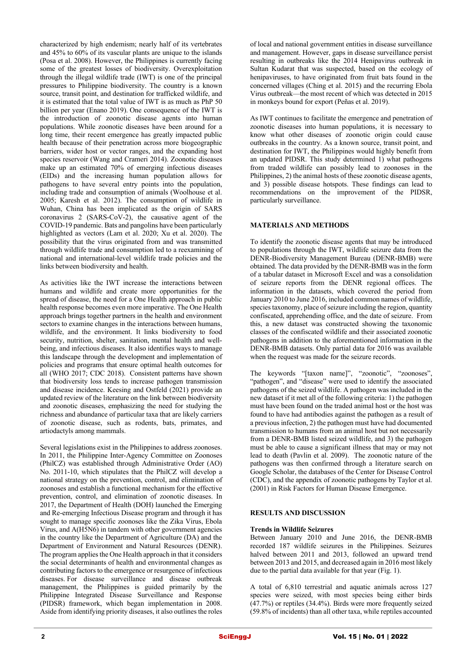characterized by high endemism; nearly half of its vertebrates and 45% to 60% of its vascular plants are unique to the islands (Posa et al. 2008). However, the Philippines is currently facing some of the greatest losses of biodiversity. Overexploitation through the illegal wildlife trade (IWT) is one of the principal pressures to Philippine biodiversity. The country is a known source, transit point, and destination for trafficked wildlife, and it is estimated that the total value of IWT is as much as PhP 50 billion per year (Enano 2019). One consequence of the IWT is the introduction of zoonotic disease agents into human populations. While zoonotic diseases have been around for a long time, their recent emergence has greatly impacted public health because of their penetration across more biogeographic barriers, wider host or vector ranges, and the expanding host species reservoir (Wang and Crameri 2014). Zoonotic diseases make up an estimated 70% of emerging infectious diseases (EIDs) and the increasing human population allows for pathogens to have several entry points into the population, including trade and consumption of animals (Woolhouse et al. 2005; Karesh et al. 2012). The consumption of wildlife in Wuhan, China has been implicated as the origin of SARS coronavirus 2 (SARS-CoV-2), the causative agent of the COVID-19 pandemic. Bats and pangolins have been particularly highlighted as vectors (Lam et al. 2020; Xu et al. 2020). The possibility that the virus originated from and was transmitted through wildlife trade and consumption led to a reexamining of national and international-level wildlife trade policies and the links between biodiversity and health.

As activities like the IWT increase the interactions between humans and wildlife and create more opportunities for the spread of disease, the need for a One Health approach in public health response becomes even more imperative. The One Health approach brings together partners in the health and environment sectors to examine changes in the interactions between humans, wildlife, and the environment. It links biodiversity to food security, nutrition, shelter, sanitation, mental health and wellbeing, and infectious diseases. It also identifies ways to manage this landscape through the development and implementation of policies and programs that ensure optimal health outcomes for all (WHO  $2017$ ; CDC 2018). Consistent patterns have shown that biodiversity loss tends to increase pathogen transmission and disease incidence. Keesing and Ostfeld (2021) provide an updated review of the literature on the link between biodiversity and zoonotic diseases, emphasizing the need for studying the richness and abundance of particular taxa that are likely carriers of zoonotic disease, such as rodents, bats, primates, and artiodactyls among mammals.

Several legislations exist in the Philippines to address zoonoses. In 2011, the Philippine Inter-Agency Committee on Zoonoses (PhilCZ) was established through Administrative Order (AO) No. 2011-10, which stipulates that the PhilCZ will develop a national strategy on the prevention, control, and elimination of zoonoses and establish a functional mechanism for the effective prevention, control, and elimination of zoonotic diseases. In 2017, the Department of Health (DOH) launched the Emerging and Re-emerging Infectious Disease program and through it has sought to manage specific zoonoses like the Zika Virus, Ebola Virus, and A(H5N6) in tandem with other government agencies in the country like the Department of Agriculture (DA) and the Department of Environment and Natural Resources (DENR). The program applies the One Health approach in that it considers the social determinants of health and environmental changes as contributing factors to the emergence or resurgence of infectious diseases. For disease surveillance and disease outbreak management, the Philippines is guided primarily by the Philippine Integrated Disease Surveillance and Response (PIDSR) framework, which began implementation in 2008. Aside from identifying priority diseases, it also outlines the roles

of local and national government entities in disease surveillance and management. However, gaps in disease surveillance persist resulting in outbreaks like the 2014 Henipavirus outbreak in Sultan Kudarat that was suspected, based on the ecology of henipaviruses, to have originated from fruit bats found in the concerned villages (Ching et al. 2015) and the recurring Ebola Virus outbreak—the most recent of which was detected in 2015 in monkeys bound for export (Peñas et al. 2019).

As IWT continues to facilitate the emergence and penetration of zoonotic diseases into human populations, it is necessary to know what other diseases of zoonotic origin could cause outbreaks in the country. As a known source, transit point, and destination for IWT, the Philippines would highly benefit from an updated PIDSR. This study determined 1) what pathogens from traded wildlife can possibly lead to zoonoses in the Philippines, 2) the animal hosts of these zoonotic disease agents, and 3) possible disease hotspots. These findings can lead to recommendations on the improvement of the PIDSR, particularly surveillance.

# **MATERIALS AND METHODS**

To identify the zoonotic disease agents that may be introduced to populations through the IWT, wildlife seizure data from the DENR-Biodiversity Management Bureau (DENR-BMB) were obtained. The data provided by the DENR-BMB was in the form of a tabular dataset in Microsoft Excel and was a consolidation of seizure reports from the DENR regional offices. The information in the datasets, which covered the period from January 2010 to June 2016, included common names of wildlife, species taxonomy, place of seizure including the region, quantity confiscated, apprehending office, and the date of seizure. From this, a new dataset was constructed showing the taxonomic classes of the confiscated wildlife and their associated zoonotic pathogens in addition to the aforementioned information in the DENR-BMB datasets. Only partial data for 2016 was available when the request was made for the seizure records.

The keywords "[taxon name]", "zoonotic", "zoonoses", "pathogen", and "disease" were used to identify the associated pathogens of the seized wildlife. A pathogen was included in the new dataset if it met all of the following criteria: 1) the pathogen must have been found on the traded animal host or the host was found to have had antibodies against the pathogen as a result of a previous infection, 2) the pathogen must have had documented transmission to humans from an animal host but not necessarily from a DENR-BMB listed seized wildlife, and 3) the pathogen must be able to cause a significant illness that may or may not lead to death (Pavlin et al. 2009). The zoonotic nature of the pathogens was then confirmed through a literature search on Google Scholar, the databases of the Center for Disease Control (CDC), and the appendix of zoonotic pathogens by Taylor et al. (2001) in Risk Factors for Human Disease Emergence.

#### **RESULTS AND DISCUSSION**

#### **Trends in Wildlife Seizures**

Between January 2010 and June 2016, the DENR-BMB recorded 187 wildlife seizures in the Philippines. Seizures halved between 2011 and 2013, followed an upward trend between 2013 and 2015, and decreased again in 2016 most likely due to the partial data available for that year (Fig. 1).

A total of 6,810 terrestrial and aquatic animals across 127 species were seized, with most species being either birds (47.7%) or reptiles (34.4%). Birds were more frequently seized (59.8% of incidents) than all other taxa, while reptiles accounted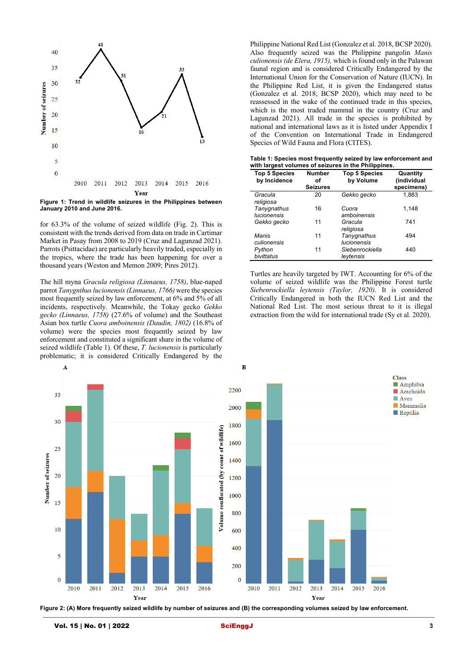

**Figure 1: Trend in wildlife seizures in the Philippines between January 2010 and June 2016.**

for 63.3% of the volume of seized wildlife (Fig. 2). This is consistent with the trends derived from data on trade in Cartimar Market in Pasay from 2008 to 2019 (Cruz and Lagunzad 2021). Parrots (Psittacidae) are particularly heavily traded, especially in the tropics, where the trade has been happening for over a thousand years (Weston and Memon 2009; Pires 2012).

The hill myna *Gracula religiosa (Linnaeus, 1758)*, blue-naped parrot *Tanygnthus lucionensis (Linnaeus, 1766)* were the species most frequently seized by law enforcement, at 6% and 5% of all incidents, respectively. Meanwhile, the Tokay gecko *Gekko gecko (Linnaeus, 1758)* (27.6% of volume) and the Southeast Asian box turtle *Cuora amboinensis (Daudin, 1802)* (16.8% of volume) were the species most frequently seized by law enforcement and constituted a significant share in the volume of seized wildlife (Table 1). Of these, *T. lucionensis* is particularly problematic; it is considered Critically Endangered by the

Philippine National Red List (Gonzalez et al. 2018, BCSP 2020). Also frequently seized was the Philippine pangolin *Manis culionensis (de Elera, 1915),* which is found only in the Palawan faunal region and is considered Critically Endangered by the International Union for the Conservation of Nature (IUCN). In the Philippine Red List, it is given the Endangered status (Gonzalez et al. 2018; BCSP 2020), which may need to be reassessed in the wake of the continued trade in this species, which is the most traded mammal in the country (Cruz and Lagunzad 2021). All trade in the species is prohibited by national and international laws as it is listed under Appendix I of the Convention on International Trade in Endangered Species of Wild Fauna and Flora (CITES).

**Table 1: Species most frequently seized by law enforcement and with largest volumes of seizures in the Philippines.**

| <b>Top 5 Species</b><br>by Incidence | <b>Number</b><br>οf<br><b>Seizures</b> | <b>Top 5 Species</b><br>by Volume | Quantity<br>(individual<br>specimens) |
|--------------------------------------|----------------------------------------|-----------------------------------|---------------------------------------|
| Gracula<br>religiosa                 | 20                                     | Gekko gecko                       | 1,883                                 |
| Tanygnathus<br>lucionensis           | 16                                     | Cuora<br>amboinensis              | 1,148                                 |
| Gekko gecko                          | 11                                     | Gracula<br>religiosa              | 741                                   |
| Manis<br>culionensis                 | 11                                     | Tanygnathus<br><b>lucionensis</b> | 494                                   |
| Python<br>bivittatus                 | 11                                     | Siebenrockiella<br>leytensis      | 440                                   |

Turtles are heavily targeted by IWT. Accounting for 6% of the volume of seized wildlife was the Philippine Forest turtle *Siebenrockiella leytensis (Taylor, 1920)*. It is considered Critically Endangered in both the IUCN Red List and the National Red List. The most serious threat to it is illegal extraction from the wild for international trade (Sy et al. 2020).



**Figure 2: (A) More frequently seized wildlife by number of seizures and (B) the corresponding volumes seized by law enforcement.**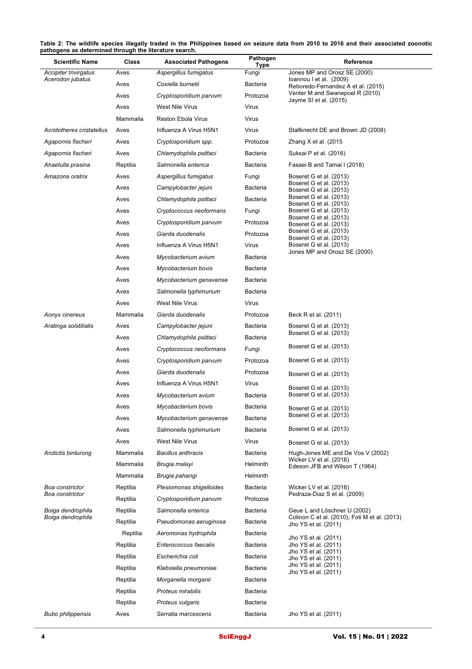**Table 2: The wildlife species illegally traded in the Philippines based on seizure data from 2010 to 2016 and their associated zoonotic pathogens as determined through the literature search.**

| <b>Scientific Name</b>                 | Class    | <b>Associated Pathogens</b> | Pathogen<br>Type | Reference                                                                     |
|----------------------------------------|----------|-----------------------------|------------------|-------------------------------------------------------------------------------|
| Accipiter trivirgatus                  | Aves     | Aspergillus fumigatus       | Fungi            | Jones MP and Orosz SE (2000)                                                  |
| Acerodon jubatus                       | Aves     | Coxiella burnetii           | Bacteria         | loannou I et al. (2009)<br>Reboredo-Fernandez A et al. (2015)                 |
|                                        | Aves     | Cryptosporidium parvum      | Protozoa         | Venter M and Swanepoel R (2010)<br>Jayme SI et al. (2015)                     |
|                                        | Aves     | West Nile Virus             | Virus            |                                                                               |
|                                        | Mammalia | Reston Ebola Virus          | Virus            |                                                                               |
| Acridotheres cristatellus              | Aves     | Influenza A Virus H5N1      | Virus            | Stallknecht DE and Brown JD (2008)                                            |
| Agapornis fischeri                     | Aves     | Cryptosporidium spp.        | Protozoa         | Zhang X et al. (2015                                                          |
| Agapornis fischeri                     | Aves     | Chlamydophila psittaci      | Bacteria         | Suksai P et al. (2016)                                                        |
| Ahaetulla prasina                      | Reptilia | Salmonella enterica         | Bacteria         | Fasaei B and Tamai I (2018)                                                   |
| Amazona oratrix                        | Aves     | Aspergillus fumigatus       | Fungi            | Boseret G et al. (2013)<br>Boseret G et al. (2013)                            |
|                                        | Aves     | Campylobacter jejuni        | Bacteria         | Boseret G et al. (2013)                                                       |
|                                        | Aves     | Chlamydophila psittaci      | Bacteria         | Boseret G et al. (2013)<br>Boseret G et al. (2013)                            |
|                                        | Aves     | Cryptococcus neoformans     | Fungi            | Boseret G et al. (2013)<br>Boseret G et al. (2013)                            |
|                                        | Aves     | Cryptosporidium parvum      | Protozoa         | Boseret G et al. (2013)                                                       |
|                                        | Aves     | Giarda duodenalis           | Protozoa         | Boseret G et al. (2013)<br>Boseret G et al. (2013)                            |
|                                        | Aves     | Influenza A Virus H5N1      | Virus            | Boseret G et al. (2013)<br>Jones MP and Orosz SE (2000)                       |
|                                        | Aves     | Mycobacterium avium         | Bacteria         |                                                                               |
|                                        | Aves     | Mycobacterium bovis         | Bacteria         |                                                                               |
|                                        | Aves     | Mycobacterium genavense     | <b>Bacteria</b>  |                                                                               |
|                                        | Aves     | Salmonella typhimurium      | Bacteria         |                                                                               |
|                                        | Aves     | West Nile Virus             | Virus            |                                                                               |
| Aonyx cinereus                         | Mammalia | Giarda duodenalis           | Protozoa         | Beck R et al. (2011)                                                          |
| Aratinga solstitialis                  | Aves     | Campylobacter jejuni        | Bacteria         | Boseret G et al. (2013)<br>Boseret G et al. (2013)                            |
|                                        | Aves     | Chlamydophila psittaci      | Bacteria         |                                                                               |
|                                        | Aves     | Cryptococcus neoformans     | Fungi            | Boseret G et al. (2013)                                                       |
|                                        | Aves     | Cryptosporidium parvum      | Protozoa         | Boseret G et al. (2013)                                                       |
|                                        | Aves     | Giarda duodenalis           | Protozoa         | Boseret G et al. (2013)                                                       |
|                                        | Aves     | Influenza A Virus H5N1      | Virus            | Boseret G et al. (2013)                                                       |
|                                        | Aves     | Mycobacterium avium         | Bacteria         | Boseret G et al. (2013)                                                       |
|                                        | Aves     | Mycobacterium bovis         | Bacteria         | Boseret G et al. (2013)                                                       |
|                                        | Aves     | Mycobacterium genavense     | Bacteria         | Boseret G et al. (2013)                                                       |
|                                        | Aves     | Salmonella typhimurium      | Bacteria         | Boseret G et al. (2013)                                                       |
|                                        | Aves     | West Nile Virus             | Virus            | Boseret G et al. (2013)                                                       |
| Arctictis binturong                    | Mammalia | <b>Bacillus anthracis</b>   | Bacteria         | Hugh-Jones ME and De Vos V (2002)<br>Wicker LV et al. (2016)                  |
|                                        | Mammalia | Brugia malayi               | Helminth         | Edeson JFB and Wilson T (1964)                                                |
|                                        | Mammalia | Brugia pahangi              | <b>Helminth</b>  |                                                                               |
| Boa constrictor<br>Boa constrictor     | Reptilia | Plesiomonas shigelloides    | Bacteria         | Wicker LV et al. (2016)<br>Pedraza-Diaz S et al. (2009)                       |
|                                        | Reptilia | Cryptosporidium parvum      | Protozoa         |                                                                               |
| Boiga dendrophila<br>Boiga dendrophila | Reptilia | Salmonella enterica         | Bacteria         | Geue L and Löschner U (2002)<br>Colinon C et al. (2010); Foti M et al. (2013) |
|                                        | Reptilia | Pseudomonas aeruginosa      | Bacteria         | Jho YS et al. (2011)                                                          |
|                                        | Reptilia | Aeromonas hydrophila        | Bacteria         | Jho YS et al. (2011)                                                          |
|                                        | Reptilia | Enterococcus faecalis       | Bacteria         | Jho YS et al. (2011)<br>Jho YS et al. (2011)                                  |
|                                        | Reptilia | Escherichia coli            | Bacteria         | Jho YS et al. (2011)<br>Jho YS et al. (2011)                                  |
|                                        | Reptilia | Klebsiella pneumoniae       | Bacteria         | Jho YS et al. (2011)                                                          |
|                                        | Reptilia | Morganella morganii         | Bacteria         |                                                                               |
|                                        | Reptilia | Proteus mirabilis           | Bacteria         |                                                                               |
|                                        | Reptilia | Proteus vulgaris            | Bacteria         |                                                                               |
| <b>Bubo philippensis</b>               | Aves     | Serratia marcescens         | Bacteria         | Jho YS et al. (2011)                                                          |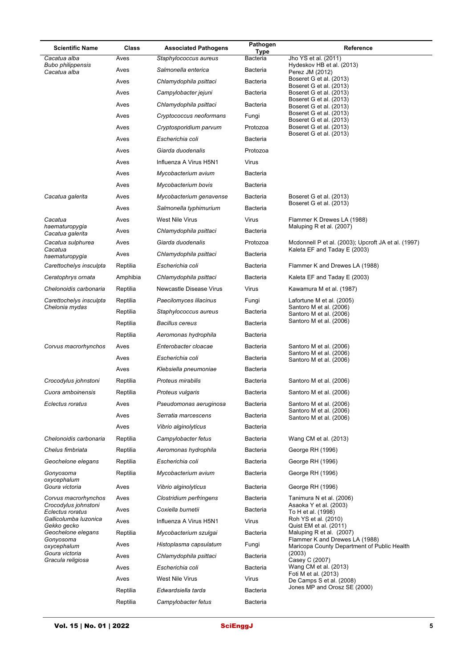| <b>Scientific Name</b>                   | Class    | <b>Associated Pathogens</b> | Pathogen         | Reference                                                                     |
|------------------------------------------|----------|-----------------------------|------------------|-------------------------------------------------------------------------------|
| Cacatua alba                             | Aves     | Staphylococcus aureus       | Type<br>Bacteria | Jho YS et al. (2011)                                                          |
| <b>Bubo philippensis</b><br>Cacatua alba | Aves     | Salmonella enterica         | Bacteria         | Hydeskov HB et al. (2013)<br>Perez JM (2012)                                  |
|                                          | Aves     | Chlamydophila psittaci      | <b>Bacteria</b>  | Boseret G et al. (2013)<br>Boseret G et al. (2013)                            |
|                                          | Aves     | Campylobacter jejuni        | <b>Bacteria</b>  | Boseret G et al. (2013)                                                       |
|                                          | Aves     | Chlamydophila psittaci      | Bacteria         | Boseret G et al. (2013)<br>Boseret G et al. (2013)                            |
|                                          | Aves     | Cryptococcus neoformans     | Fungi            | Boseret G et al. (2013)<br>Boseret G et al. (2013)                            |
|                                          | Aves     | Cryptosporidium parvum      | Protozoa         | Boseret G et al. (2013)                                                       |
|                                          | Aves     | Escherichia coli            | <b>Bacteria</b>  | Boseret G et al. (2013)                                                       |
|                                          | Aves     | Giarda duodenalis           | Protozoa         |                                                                               |
|                                          | Aves     | Influenza A Virus H5N1      | Virus            |                                                                               |
|                                          | Aves     | Mycobacterium avium         | <b>Bacteria</b>  |                                                                               |
|                                          | Aves     | Mycobacterium bovis         | <b>Bacteria</b>  |                                                                               |
| Cacatua galerita                         | Aves     | Mycobacterium genavense     | <b>Bacteria</b>  | Boseret G et al. (2013)                                                       |
|                                          | Aves     | Salmonella typhimurium      | <b>Bacteria</b>  | Boseret G et al. (2013)                                                       |
| Cacatua                                  | Aves     | West Nile Virus             | Virus            | Flammer K Drewes LA (1988)                                                    |
| haematuropygia<br>Cacatua galerita       | Aves     | Chlamydophila psittaci      | Bacteria         | Maluping R et al. (2007)                                                      |
| Cacatua sulphurea                        | Aves     | Giarda duodenalis           | Protozoa         | Mcdonnell P et al. (2003); Upcroft JA et al. (1997)                           |
| Cacatua<br>haematuropygia                | Aves     | Chlamydophila psittaci      | Bacteria         | Kaleta EF and Taday E (2003)                                                  |
| Carettochelys insculpta                  | Reptilia | Escherichia coli            | <b>Bacteria</b>  | Flammer K and Drewes LA (1988)                                                |
| Ceratophrys ornata                       | Amphibia | Chlamydophila psittaci      | <b>Bacteria</b>  | Kaleta EF and Taday E (2003)                                                  |
| Chelonoidis carbonaria                   | Reptilia | Newcastle Disease Virus     | Virus            | Kawamura M et al. (1987)                                                      |
| Carettochelys insculpta                  | Reptilia | Paecilomyces lilacinus      | Fungi            | Lafortune M et al. (2005)                                                     |
| Chelonia mydas                           | Reptilia | Staphylococcus aureus       | Bacteria         | Santoro M et al. (2006)<br>Santoro M et al. (2006)                            |
|                                          | Reptilia | <b>Bacillus cereus</b>      | <b>Bacteria</b>  | Santoro M et al. (2006)                                                       |
|                                          | Reptilia | Aeromonas hydrophila        | <b>Bacteria</b>  |                                                                               |
| Corvus macrorhynchos                     | Aves     | Enterobacter cloacae        | <b>Bacteria</b>  | Santoro M et al. (2006)                                                       |
|                                          | Aves     | Escherichia coli            | <b>Bacteria</b>  | Santoro M et al. (2006)<br>Santoro M et al. (2006)                            |
|                                          | Aves     | Klebsiella pneumoniae       | <b>Bacteria</b>  |                                                                               |
| Crocodylus johnstoni                     | Reptilia | Proteus mirabilis           | <b>Bacteria</b>  | Santoro M et al. (2006)                                                       |
| Cuora amboinensis                        | Reptilia | Proteus vulgaris            | Bacteria         | Santoro M et al. (2006)                                                       |
| Eclectus roratus                         | Aves     | Pseudomonas aeruginosa      | <b>Bacteria</b>  | Santoro M et al. (2006)                                                       |
|                                          | Aves     | Serratia marcescens         | Bacteria         | Santoro M et al. (2006)<br>Santoro M et al. (2006)                            |
|                                          | Aves     | Vibrio alginolyticus        | <b>Bacteria</b>  |                                                                               |
| Chelonoidis carbonaria                   | Reptilia | Campylobacter fetus         | Bacteria         | Wang CM et al. (2013)                                                         |
| Chelus fimbriata                         | Reptilia | Aeromonas hydrophila        | <b>Bacteria</b>  | George RH (1996)                                                              |
| Geochelone elegans                       | Reptilia | Escherichia coli            | <b>Bacteria</b>  | George RH (1996)                                                              |
| Gonyosoma                                | Reptilia | Mycobacterium avium         | <b>Bacteria</b>  | George RH (1996)                                                              |
| oxycephalum<br>Goura victoria            | Aves     | Vibrio alginolyticus        | <b>Bacteria</b>  | George RH (1996)                                                              |
| Corvus macrorhynchos                     | Aves     | Clostridium perfringens     | Bacteria         | Tanimura N et al. (2006)                                                      |
| Crocodylus johnstoni<br>Eclectus roratus | Aves     | Coxiella burnetii           | <b>Bacteria</b>  | Asaoka Y et al. (2003)<br>To H et al. (1998)                                  |
| Gallicolumba luzonica<br>Gekko gecko     | Aves     | Influenza A Virus H5N1      | Virus            | Roh YS et al. (2010)<br>Quist EM et al. (2011)                                |
| Geochelone elegans                       | Reptilia | Mycobacterium szulgai       | Bacteria         | Maluping R et al. (2007)                                                      |
| Gonyosoma<br>oxycephalum                 | Aves     | Histoplasma capsulatum      | Fungi            | Flammer K and Drewes LA (1988)<br>Maricopa County Department of Public Health |
| Goura victoria<br>Gracula religiosa      | Aves     | Chlamydophila psittaci      | Bacteria         | (2003)<br>Casey C (2007)                                                      |
|                                          | Aves     | Escherichia coli            | <b>Bacteria</b>  | Wang CM et al. (2013)                                                         |
|                                          | Aves     | West Nile Virus             | Virus            | Foti M et al. (2013)<br>De Camps S et al. (2008)                              |
|                                          | Reptilia | Edwardsiella tarda          | Bacteria         | Jones MP and Orosz SE (2000)                                                  |
|                                          | Reptilia | Campylobacter fetus         | <b>Bacteria</b>  |                                                                               |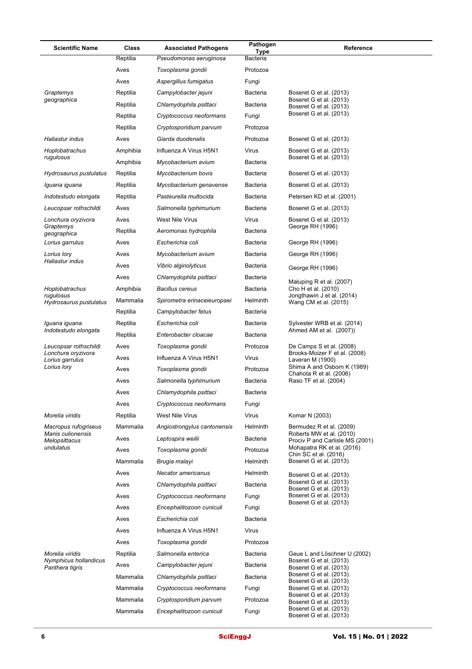| <b>Scientific Name</b>                   | Class    | <b>Associated Pathogens</b> | Pathogen<br>Type | Reference                                                   |
|------------------------------------------|----------|-----------------------------|------------------|-------------------------------------------------------------|
|                                          | Reptilia | Pseudomonas aeruginosa      | <b>Bacteria</b>  |                                                             |
|                                          | Aves     | Toxoplasma gondii           | Protozoa         |                                                             |
|                                          | Aves     | Aspergillus fumigatus       | Fungi            |                                                             |
| Graptemys                                | Reptilia | Campylobacter jejuni        | <b>Bacteria</b>  | Boseret G et al. (2013)                                     |
| geographica                              | Reptilia | Chlamydophila psittaci      | <b>Bacteria</b>  | Boseret G et al. (2013)<br>Boseret G et al. (2013)          |
|                                          | Reptilia | Cryptococcus neoformans     | Fungi            | Boseret G et al. (2013)                                     |
|                                          | Reptilia | Cryptosporidium parvum      | Protozoa         |                                                             |
| Haliastur indus                          | Aves     | Giarda duodenalis           | Protozoa         | Boseret G et al. (2013)                                     |
| Hoplobatrachus                           | Amphibia | Influenza A Virus H5N1      | Virus            | Boseret G et al. (2013)                                     |
| rugulosus                                | Amphibia | Mycobacterium avium         | Bacteria         | Boseret G et al. (2013)                                     |
| Hydrosaurus pustulatus                   | Reptilia | Mycobacterium bovis         | <b>Bacteria</b>  | Boseret G et al. (2013)                                     |
| Iguana iguana                            | Reptilia | Mycobacterium genavense     | <b>Bacteria</b>  | Boseret G et al. (2013)                                     |
| Indotestudo elongata                     | Reptilia | Pasteurella multocida       | <b>Bacteria</b>  | Petersen KD et al. (2001)                                   |
| Leucopsar rothschildi                    | Aves     | Salmonella typhimurium      | <b>Bacteria</b>  | Boseret G et al. (2013)                                     |
| Lonchura oryzivora                       | Aves     | West Nile Virus             | Virus            | Boseret G et al. (2013)                                     |
| Graptemys<br>geographica                 | Reptilia | Aeromonas hydrophila        | <b>Bacteria</b>  | George RH (1996)                                            |
| Lorius garrulus                          | Aves     | Escherichia coli            | <b>Bacteria</b>  | George RH (1996)                                            |
| Lorius lory                              | Aves     | Mycobacterium avium         | <b>Bacteria</b>  | George RH (1996)                                            |
| Haliastur indus                          | Aves     | Vibrio alginolyticus        | <b>Bacteria</b>  | George RH (1996)                                            |
|                                          | Aves     | Chlamydophila psittaci      | <b>Bacteria</b>  |                                                             |
| Hoplobatrachus                           | Amphibia | <b>Bacillus cereus</b>      | <b>Bacteria</b>  | Maluping R et al. (2007)<br>Cho H et al. (2010)             |
| rugulosus<br>Hydrosaurus pustulatus      | Mammalia | Spirometra erinaceieuropaei | Helminth         | Jongthawin J et al. (2014)<br>Wang CM et al. (2015)         |
|                                          | Reptilia | Campylobacter fetus         | <b>Bacteria</b>  |                                                             |
| Iguana iguana                            | Reptilia | Escherichia coli            | <b>Bacteria</b>  | Sylvester WRB et al. (2014)                                 |
| Indotestudo elongata                     | Reptilia | Enterobacter cloacae        | <b>Bacteria</b>  | Ahmed AM et al. (2007))                                     |
| Leucopsar rothschildi                    | Aves     | Toxoplasma gondii           | Protozoa         | De Camps S et al. (2008)                                    |
| Lonchura oryzivora<br>Lorius garrulus    | Aves     | Influenza A Virus H5N1      | Virus            | Brooks-Moizer F et al. (2008)<br>Laveran M (1900)           |
| Lorius lory                              | Aves     | Toxoplasma gondii           | Protozoa         | Shima A and Osborn K (1989)<br>Chahota R et al. (2006)      |
|                                          | Aves     | Salmonella typhimurium      | <b>Bacteria</b>  | Raso TF et al. (2004)                                       |
|                                          | Aves     | Chlamydophila psittaci      | Bacteria         |                                                             |
|                                          | Aves     | Cryptococcus neoformans     | Fungi            |                                                             |
| Morelia viridis                          | Reptilia | West Nile Virus             | Virus            | Komar N (2003)                                              |
| Macropus rufogriseus                     | Mammalia | Angiostrongylus cantonensis | Helminth         | Bermudez R et al. (2009)                                    |
| Manis culionensis<br>Melopsittacus       | Aves     | Leptospira weilii           | Bacteria         | Roberts MW et al. (2010)<br>Prociv P and Carlisle MS (2001) |
| undulatus                                | Aves     | Toxoplasma gondii           | Protozoa         | Mohapatra RK et al. (2016)<br>Chin SC et al. (2016)         |
|                                          | Mammalia | Brugia malayi               | <b>Helminth</b>  | Boseret G et al. (2013)                                     |
|                                          | Aves     | Necator americanus          | Helminth         | Boseret G et al. (2013)                                     |
|                                          | Aves     | Chlamydophila psittaci      | Bacteria         | Boseret G et al. (2013)<br>Boseret G et al. (2013)          |
|                                          | Aves     | Cryptococcus neoformans     | Fungi            | Boseret G et al. (2013)                                     |
|                                          | Aves     | Encephalitozoon cuniculi    | Fungi            | Boseret G et al. (2013)                                     |
|                                          | Aves     | Escherichia coli            | <b>Bacteria</b>  |                                                             |
|                                          | Aves     | Influenza A Virus H5N1      | Virus            |                                                             |
|                                          | Aves     | Toxoplasma gondii           | Protozoa         |                                                             |
| Morelia viridis                          | Reptilia | Salmonella enterica         | Bacteria         | Geue L and Löschner U (2002)                                |
| Nymphicus hollandicus<br>Panthera tigris | Aves     | Campylobacter jejuni        | <b>Bacteria</b>  | Boseret G et al. (2013)<br>Boseret G et al. (2013)          |
|                                          | Mammalia | Chlamydophila psittaci      | Bacteria         | Boseret G et al. (2013)                                     |
|                                          | Mammalia | Cryptococcus neoformans     | Fungi            | Boseret G et al. (2013)<br>Boseret G et al. (2013)          |
|                                          | Mammalia | Cryptosporidium parvum      | Protozoa         | Boseret G et al. (2013)<br>Boseret G et al. (2013)          |
|                                          | Mammalia | Encephalitozoon cuniculi    | Fungi            | Boseret G et al. (2013)<br>Boseret G et al. (2013)          |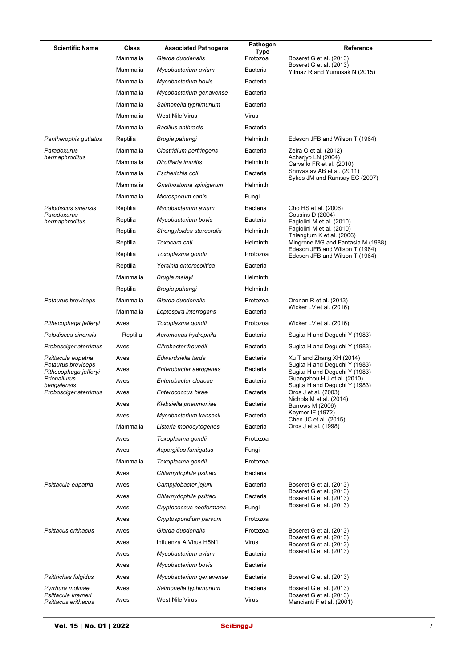| <b>Scientific Name</b>                                        | Class        | <b>Associated Pathogens</b>               | Pathogen<br>Type         | Reference                                                                       |
|---------------------------------------------------------------|--------------|-------------------------------------------|--------------------------|---------------------------------------------------------------------------------|
|                                                               | Mammalia     | Giarda duodenalis                         | Protozoa                 | Boseret G et al. (2013)                                                         |
|                                                               | Mammalia     | Mycobacterium avium                       | Bacteria                 | Boseret G et al. (2013)<br>Yilmaz R and Yumusak N (2015)                        |
|                                                               | Mammalia     | Mycobacterium bovis                       | <b>Bacteria</b>          |                                                                                 |
|                                                               | Mammalia     | Mycobacterium genavense                   | <b>Bacteria</b>          |                                                                                 |
|                                                               | Mammalia     | Salmonella typhimurium                    | <b>Bacteria</b>          |                                                                                 |
|                                                               | Mammalia     | West Nile Virus                           | Virus                    |                                                                                 |
|                                                               | Mammalia     | <b>Bacillus anthracis</b>                 | <b>Bacteria</b>          |                                                                                 |
| Pantherophis guttatus                                         | Reptilia     | Brugia pahangi                            | Helminth                 | Edeson JFB and Wilson T (1964)                                                  |
| Paradoxurus                                                   | Mammalia     | Clostridium perfringens                   | Bacteria                 | Zeira O et al. (2012)                                                           |
| hermaphroditus                                                | Mammalia     | Dirofilaria immitis                       | Helminth                 | Acharjyo LN (2004)<br>Carvallo FR et al. (2010)                                 |
|                                                               | Mammalia     | Escherichia coli                          | <b>Bacteria</b>          | Shrivastav AB et al. (2011)<br>Sykes JM and Ramsay EC (2007)                    |
|                                                               | Mammalia     | Gnathostoma spinigerum                    | Helminth                 |                                                                                 |
|                                                               | Mammalia     | Microsporum canis                         | Fungi                    |                                                                                 |
| Pelodiscus sinensis                                           | Reptilia     | Mycobacterium avium                       | Bacteria                 | Cho HS et al. (2006)                                                            |
| Paradoxurus<br>hermaphroditus                                 | Reptilia     | Mycobacterium bovis                       | <b>Bacteria</b>          | Cousins D (2004)<br>Fagiolini M et al. (2010)                                   |
|                                                               | Reptilia     | Strongyloides stercoralis                 | Helminth                 | Fagiolini M et al. (2010)<br>Thiangtum K et al. (2006)                          |
|                                                               | Reptilia     | Toxocara cati                             | Helminth                 | Mingrone MG and Fantasia M (1988)<br>Edeson JFB and Wilson T (1964)             |
|                                                               | Reptilia     | Toxoplasma qondii                         | Protozoa                 | Edeson JFB and Wilson T (1964)                                                  |
|                                                               | Reptilia     | Yersinia enterocolitica                   | <b>Bacteria</b>          |                                                                                 |
|                                                               | Mammalia     | Brugia malayi                             | Helminth                 |                                                                                 |
|                                                               | Reptilia     | Brugia pahangi                            | Helminth                 |                                                                                 |
| Petaurus breviceps                                            | Mammalia     | Giarda duodenalis                         | Protozoa                 | Oronan R et al. (2013)                                                          |
|                                                               | Mammalia     | Leptospira interrogans                    | Bacteria                 | Wicker LV et al. (2016)                                                         |
| Pithecophaga jefferyi                                         | Aves         | Toxoplasma gondii                         | Protozoa                 | Wicker LV et al. (2016)                                                         |
| Pelodiscus sinensis                                           | Reptilia     | Aeromonas hydrophila                      | Bacteria                 | Sugita H and Deguchi Y (1983)                                                   |
| Probosciger aterrimus                                         | Aves         | Citrobacter freundii                      | Bacteria                 | Sugita H and Deguchi Y (1983)                                                   |
| Psittacula eupatria                                           | Aves         | Edwardsiella tarda                        | <b>Bacteria</b>          | Xu T and Zhang XH (2014)                                                        |
| Petaurus breviceps<br>Pithecophaga jefferyi                   | Aves         | Enterobacter aerogenes                    | <b>Bacteria</b>          | Sugita H and Deguchi Y (1983)<br>Sugita H and Deguchi Y (1983)                  |
| Prionailurus<br>bengalensis                                   | Aves         | Enterobacter cloacae                      | <b>Bacteria</b>          | Guangzhou HU et al. (2010)<br>Sugita H and Deguchi Y (1983)                     |
| Probosciger aterrimus                                         | Aves         | Enterococcus hirae                        | Bacteria                 | Oros J et al. (2003)<br>Nichols M et al. (2014)                                 |
|                                                               | Aves         | Klebsiella pneumoniae                     | <b>Bacteria</b>          | Barrows M (2006)                                                                |
|                                                               | Aves         | Mycobacterium kansasii                    | <b>Bacteria</b>          | Keymer IF (1972)<br>Chen JC et al. (2015)                                       |
|                                                               | Mammalia     | Listeria monocytogenes                    | <b>Bacteria</b>          | Oros J et al. (1998)                                                            |
|                                                               | Aves         | Toxoplasma gondii                         | Protozoa                 |                                                                                 |
|                                                               | Aves         | Aspergillus fumigatus                     | Fungi                    |                                                                                 |
|                                                               | Mammalia     | Toxoplasma gondii                         | Protozoa                 |                                                                                 |
|                                                               | Aves         | Chlamydophila psittaci                    | <b>Bacteria</b>          |                                                                                 |
| Psittacula eupatria                                           | Aves         | Campylobacter jejuni                      | <b>Bacteria</b>          | Boseret G et al. (2013)<br>Boseret G et al. (2013)                              |
|                                                               | Aves         | Chlamydophila psittaci                    | <b>Bacteria</b>          | Boseret G et al. (2013)                                                         |
|                                                               | Aves         | Cryptococcus neoformans                   | Fungi                    | Boseret G et al. (2013)                                                         |
|                                                               | Aves         | Cryptosporidium parvum                    | Protozoa                 |                                                                                 |
| Psittacus erithacus                                           | Aves         | Giarda duodenalis                         | Protozoa                 | Boseret G et al. (2013)<br>Boseret G et al. (2013)                              |
|                                                               | Aves         | Influenza A Virus H5N1                    | Virus                    | Boseret G et al. (2013)<br>Boseret G et al. (2013)                              |
|                                                               | Aves         | Mycobacterium avium                       | <b>Bacteria</b>          |                                                                                 |
|                                                               | Aves         | Mycobacterium bovis                       | <b>Bacteria</b>          |                                                                                 |
| Psittrichas fulgidus                                          | Aves         | Mycobacterium genavense                   | <b>Bacteria</b>          | Boseret G et al. (2013)                                                         |
| Pyrrhura molinae<br>Psittacula krameri<br>Psittacus erithacus | Aves<br>Aves | Salmonella typhimurium<br>West Nile Virus | <b>Bacteria</b><br>Virus | Boseret G et al. (2013)<br>Boseret G et al. (2013)<br>Mancianti F et al. (2001) |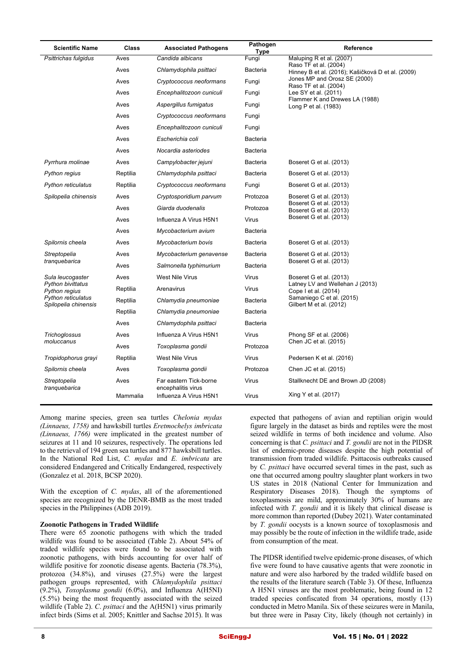| <b>Scientific Name</b>                     | Class    | <b>Associated Pathogens</b>                  | Pathogen<br>Type | Reference                                                                  |
|--------------------------------------------|----------|----------------------------------------------|------------------|----------------------------------------------------------------------------|
| Psittrichas fulgidus                       | Aves     | Candida albicans                             | Fungi            | Maluping R et al. (2007)                                                   |
|                                            | Aves     | Chlamydophila psittaci                       | <b>Bacteria</b>  | Raso TF et al. (2004)<br>Hinney B et al. (2016); Kašičková D et al. (2009) |
|                                            | Aves     | Cryptococcus neoformans                      | Fungi            | Jones MP and Orosz SE (2000)<br>Raso TF et al. (2004)                      |
|                                            | Aves     | Encephalitozoon cuniculi                     | Fungi            | Lee SY et al. (2011)                                                       |
|                                            | Aves     | Aspergillus fumigatus                        | Fungi            | Flammer K and Drewes LA (1988)<br>Long P et al. (1983)                     |
|                                            | Aves     | Cryptococcus neoformans                      | Fungi            |                                                                            |
|                                            | Aves     | Encephalitozoon cuniculi                     | Fungi            |                                                                            |
|                                            | Aves     | Escherichia coli                             | <b>Bacteria</b>  |                                                                            |
|                                            | Aves     | Nocardia asteriodes                          | <b>Bacteria</b>  |                                                                            |
| Pyrrhura molinae                           | Aves     | Campylobacter jejuni                         | <b>Bacteria</b>  | Boseret G et al. (2013)                                                    |
| Python regius                              | Reptilia | Chlamydophila psittaci                       | <b>Bacteria</b>  | Boseret G et al. (2013)                                                    |
| <b>Python reticulatus</b>                  | Reptilia | Cryptococcus neoformans                      | Fungi            | Boseret G et al. (2013)                                                    |
| Spilopelia chinensis                       | Aves     | Cryptosporidium parvum                       | Protozoa         | Boseret G et al. (2013)                                                    |
|                                            | Aves     | Giarda duodenalis                            | Protozoa         | Boseret G et al. (2013)<br>Boseret G et al. (2013)                         |
|                                            | Aves     | Influenza A Virus H5N1                       | Virus            | Boseret G et al. (2013)                                                    |
|                                            | Aves     | Mycobacterium avium                          | <b>Bacteria</b>  |                                                                            |
| Spilornis cheela                           | Aves     | Mycobacterium bovis                          | <b>Bacteria</b>  | Boseret G et al. (2013)                                                    |
| Streptopelia                               | Aves     | Mycobacterium genavense                      | <b>Bacteria</b>  | Boseret G et al. (2013)                                                    |
| tranquebarica                              | Aves     | Salmonella typhimurium                       | <b>Bacteria</b>  | Boseret G et al. (2013)                                                    |
| Sula leucogaster                           | Aves     | West Nile Virus                              | Virus            | Boseret G et al. (2013)                                                    |
| Python bivittatus<br>Python regius         | Reptilia | Arenavirus                                   | Virus            | Latney LV and Wellehan J (2013)<br>Cope I et al. (2014)                    |
| Python reticulatus<br>Spilopelia chinensis | Reptilia | Chlamydia pneumoniae                         | <b>Bacteria</b>  | Samaniego C et al. (2015)<br>Gilbert M et al. (2012)                       |
|                                            | Reptilia | Chlamydia pneumoniae                         | Bacteria         |                                                                            |
|                                            | Aves     | Chlamydophila psittaci                       | <b>Bacteria</b>  |                                                                            |
| Trichoglossus                              | Aves     | Influenza A Virus H5N1                       | Virus            | Phong SF et al. (2006)                                                     |
| moluccanus                                 | Aves     | Toxoplasma gondii                            | Protozoa         | Chen JC et al. (2015)                                                      |
| Tropidophorus grayi                        | Reptilia | West Nile Virus                              | Virus            | Pedersen K et al. (2016)                                                   |
| Spilornis cheela                           | Aves     | Toxoplasma gondii                            | Protozoa         | Chen JC et al. (2015)                                                      |
| Streptopelia<br>tranquebarica              | Aves     | Far eastern Tick-borne<br>encephalitis virus | Virus            | Stallknecht DE and Brown JD (2008)                                         |
|                                            | Mammalia | Influenza A Virus H5N1                       | Virus            | Xing Y et al. (2017)                                                       |

Among marine species, green sea turtles *Chelonia mydas (Linnaeus, 1758)* and hawksbill turtles *Eretmochelys imbricata (Linnaeus, 1766)* were implicated in the greatest number of seizures at 11 and 10 seizures, respectively. The operations led to the retrieval of 194 green sea turtles and 877 hawksbill turtles. In the National Red List, *C. mydas* and *E. imbricata* are considered Endangered and Critically Endangered, respectively (Gonzalez et al. 2018, BCSP 2020).

With the exception of *C. mydas*, all of the aforementioned species are recognized by the DENR-BMB as the most traded species in the Philippines (ADB 2019).

#### **Zoonotic Pathogens in Traded Wildlife**

There were 65 zoonotic pathogens with which the traded wildlife was found to be associated (Table 2). About 54% of traded wildlife species were found to be associated with zoonotic pathogens, with birds accounting for over half of wildlife positive for zoonotic disease agents. Bacteria (78.3%), protozoa (34.8%), and viruses (27.5%) were the largest pathogen groups represented, with *Chlamydophila psittaci*  (9.2%), *Toxoplasma gondii* (6.0%), and Influenza A(H5NI)  $(5.5\%)$  being the most frequently associated with the seized wildlife (Table 2). *C*. *psittaci* and the A(H5N1) virus primarily infect birds (Sims et al. 2005; Knittler and Sachse 2015). It was expected that pathogens of avian and reptilian origin would figure largely in the dataset as birds and reptiles were the most seized wildlife in terms of both incidence and volume. Also concerning is that *C. psittaci* and *T. gondii* are not in the PIDSR list of endemic-prone diseases despite the high potential of transmission from traded wildlife. Psittacosis outbreaks caused by *C. psittaci* have occurred several times in the past, such as one that occurred among poultry slaughter plant workers in two US states in 2018 (National Center for Immunization and Respiratory Diseases 2018). Though the symptoms of toxoplasmosis are mild, approximately 30% of humans are infected with *T. gondii* and it is likely that clinical disease is more common than reported (Dubey 2021). Water contaminated by *T. gondii* oocysts is a known source of toxoplasmosis and may possibly be the route of infection in the wildlife trade, aside from consumption of the meat.

The PIDSR identified twelve epidemic-prone diseases, of which five were found to have causative agents that were zoonotic in nature and were also harbored by the traded wildlife based on the results of the literature search (Table 3). Of these, Influenza A H5N1 viruses are the most problematic, being found in 12 traded species confiscated from 34 operations, mostly (13) conducted in Metro Manila. Six of these seizures were in Manila, but three were in Pasay City, likely (though not certainly) in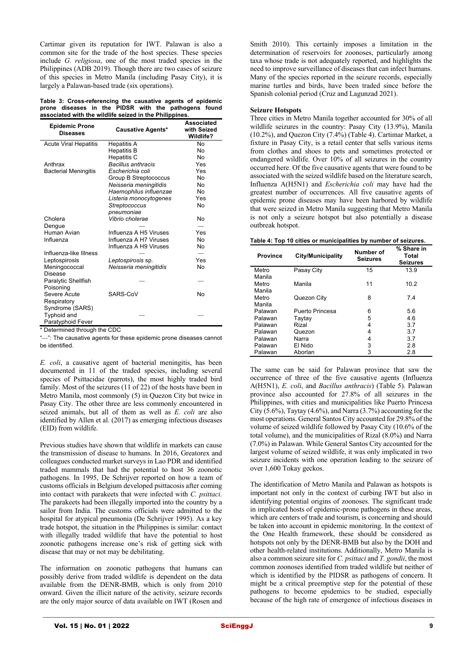Cartimar given its reputation for IWT. Palawan is also a common site for the trade of the host species. These species include *G. religiosa*, one of the most traded species in the Philippines (ADB 2019). Though there are two cases of seizure of this species in Metro Manila (including Pasay City), it is largely a Palawan-based trade (six operations).

**Table 3: Cross-referencing the causative agents of epidemic prone diseases in the PIDSR with the pathogens found associated with the wildlife seized in the Philippines.**

| <b>Epidemic Prone</b><br>Diseases | <b>Causative Agents*</b>  | <b>Associated</b><br>with Seized<br>Wildlife? |
|-----------------------------------|---------------------------|-----------------------------------------------|
| <b>Acute Viral Hepatitis</b>      | Hepatitis A               | No                                            |
|                                   | <b>Hepatitis B</b>        | No                                            |
|                                   | Hepatitis C               | No                                            |
| Anthrax                           | <b>Bacillus anthracis</b> | Yes                                           |
| <b>Bacterial Meningitis</b>       | Escherichia coli          | Yes                                           |
|                                   | Group B Streptococcus     | No                                            |
|                                   | Neisseria meningitidis    | No                                            |
|                                   | Haemophilus influenzae    | No                                            |
|                                   | Listeria monocytogenes    | Yes                                           |
|                                   | Streptococcus             | No                                            |
|                                   | pneumoniae                |                                               |
| Cholera                           | Vibrio cholerae           | No                                            |
| Dengue                            |                           |                                               |
| Human Avian                       | Influenza A H5 Viruses    | Yes                                           |
| Influenza                         | Influenza A H7 Viruses    | No                                            |
|                                   | Influenza A H9 Viruses    | No                                            |
| Influenza-like Illness            |                           |                                               |
| Leptospirosis                     | Leptospirosis sp.         | Yes                                           |
| Meningococcal                     | Neisseria meningitidis    | No                                            |
| <b>Disease</b>                    |                           |                                               |
| Paralytic Shellfish               |                           |                                               |
| Poisoning                         |                           |                                               |
| Severe Acute                      | SARS-CoV                  | <b>No</b>                                     |
| Respiratory                       |                           |                                               |
| Syndrome (SARS)                   |                           |                                               |
| Typhoid and                       |                           |                                               |
| Paratyphoid Fever                 |                           |                                               |
| $*$ Datarminad through the CDC    |                           |                                               |

Determined through the CDC

"—": The causative agents for these epidemic prone diseases cannot be identified.

*E. coli*, a causative agent of bacterial meningitis, has been documented in 11 of the traded species, including several species of Psittacidae (parrots), the most highly traded bird family. Most of the seizures (11 of 22) of the hosts have been in Metro Manila, most commonly (5) in Quezon City but twice in Pasay City. The other three are less commonly encountered in seized animals, but all of them as well as *E. coli* are also identified by Allen et al. (2017) as emerging infectious diseases (EID) from wildlife.

Previous studies have shown that wildlife in markets can cause the transmission of disease to humans. In 2016, Greatorex and colleagues conducted market surveys in Lao PDR and identified traded mammals that had the potential to host 36 zoonotic pathogens. In 1995, De Schrijver reported on how a team of customs officials in Belgium developed psittacosis after coming into contact with parakeets that were infected with *C. psittaci*. The parakeets had been illegally imported into the country by a sailor from India. The customs officials were admitted to the hospital for atypical pneumonia (De Schrijver 1995). As a key trade hotspot, the situation in the Philippines is similar: contact with illegally traded wildlife that have the potential to host zoonotic pathogens increase one's risk of getting sick with disease that may or not may be debilitating.

The information on zoonotic pathogens that humans can possibly derive from traded wildlife is dependent on the data available from the DENR-BMB, which is only from 2010 onward. Given the illicit nature of the activity, seizure records are the only major source of data available on IWT (Rosen and Smith 2010). This certainly imposes a limitation in the determination of reservoirs for zoonoses, particularly among taxa whose trade is not adequately reported, and highlights the need to improve surveillance of diseases that can infect humans. Many of the species reported in the seizure records, especially marine turtles and birds, have been traded since before the Spanish colonial period (Cruz and Lagunzad 2021).

#### **Seizure Hotspots**

Three cities in Metro Manila together accounted for 30% of all wildlife seizures in the country: Pasay City (13.9%), Manila (10.2%), and Quezon City (7.4%) (Table 4). Cartimar Market, a fixture in Pasay City, is a retail center that sells various items from clothes and shoes to pets and sometimes protected or endangered wildlife. Over 10% of all seizures in the country occurred here. Of the five causative agents that were found to be associated with the seized wildlife based on the literature search, Influenza A(H5N1) and *Escherichia coli* may have had the greatest number of occurrences. All five causative agents of epidemic prone diseases may have been harbored by wildlife that were seized in Metro Manila suggesting that Metro Manila is not only a seizure hotspot but also potentially a disease outbreak hotspot.

| Table 4: Top 10 cities or municipalities by number of seizures. |  |
|-----------------------------------------------------------------|--|
|                                                                 |  |

| <b>Province</b> | <b>City/Municipality</b> | Number of<br><b>Seizures</b> | % Share in<br><b>Total</b><br><b>Seizures</b> |
|-----------------|--------------------------|------------------------------|-----------------------------------------------|
| Metro           | Pasay City               | 15                           | 13.9                                          |
| Manila          |                          |                              |                                               |
| Metro           | Manila                   | 11                           | 10.2                                          |
| Manila          |                          |                              |                                               |
| Metro           | Quezon City              | 8                            | 7.4                                           |
| Manila          |                          |                              |                                               |
| Palawan         | Puerto Princesa          | 6                            | 5.6                                           |
| Palawan         | Taytay                   | 5                            | 4.6                                           |
| Palawan         | Rizal                    | 4                            | 3.7                                           |
| Palawan         | Quezon                   | 4                            | 3.7                                           |
| Palawan         | Narra                    | 4                            | 3.7                                           |
| Palawan         | El Nido                  | 3                            | 2.8                                           |
| Palawan         | Aborlan                  | 3                            | 2.8                                           |

The same can be said for Palawan province that saw the occurrence of three of the five causative agents (Influenza A(H5N1), *E. coli*, and *Bacillus anthracis*) (Table 5). Palawan province also accounted for 27.8% of all seizures in the Philippines, with cities and municipalities like Puerto Princesa City (5.6%), Taytay (4.6%), and Narra  $(3.7%)$  accounting for the most operations. General Santos City accounted for 29.8% of the volume of seized wildlife followed by Pasay City (10.6% of the total volume), and the municipalities of Rizal (8.0%) and Narra (7.0%) in Palawan. While General Santos City accounted for the largest volume of seized wildlife, it was only implicated in two seizure incidents with one operation leading to the seizure of over 1,600 Tokay geckos.

The identification of Metro Manila and Palawan as hotspots is important not only in the context of curbing IWT but also in identifying potential origins of zoonoses. The significant trade in implicated hosts of epidemic-prone pathogens in these areas, which are centers of trade and tourism, is concerning and should be taken into account in epidemic monitoring. In the context of the One Health framework, these should be considered as hotspots not only by the DENR-BMB but also by the DOH and other health-related institutions. Additionally, Metro Manila is also a common seizure site for *C. psittaci* and *T. gondii*, the most common zoonoses identified from traded wildlife but neither of which is identified by the PIDSR as pathogens of concern. It might be a critical preemptive step for the potential of these pathogens to become epidemics to be studied, especially because of the high rate of emergence of infectious diseases in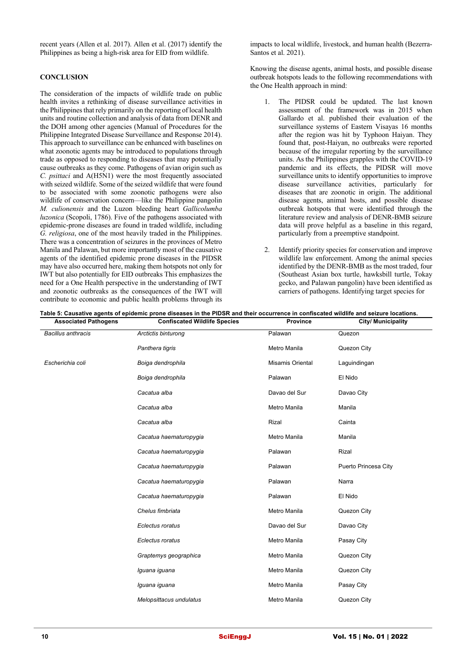recent years (Allen et al. 2017). Allen et al. (2017) identify the Philippines as being a high-risk area for EID from wildlife.

# **CONCLUSION**

The consideration of the impacts of wildlife trade on public health invites a rethinking of disease surveillance activities in the Philippines that rely primarily on the reporting of local health units and routine collection and analysis of data from DENR and the DOH among other agencies (Manual of Procedures for the Philippine Integrated Disease Surveillance and Response 2014). This approach to surveillance can be enhanced with baselines on what zoonotic agents may be introduced to populations through trade as opposed to responding to diseases that may potentially cause outbreaks as they come. Pathogens of avian origin such as *C. psittaci* and A(H5N1) were the most frequently associated with seized wildlife. Some of the seized wildlife that were found to be associated with some zoonotic pathogens were also wildlife of conservation concern—like the Philippine pangolin *M. culionensis* and the Luzon bleeding heart *Gallicolumba luzonica* (Scopoli, 1786). Five of the pathogens associated with epidemic-prone diseases are found in traded wildlife, including *G. religiosa*, one of the most heavily traded in the Philippines. There was a concentration of seizures in the provinces of Metro Manila and Palawan, but more importantly most of the causative agents of the identified epidemic prone diseases in the PIDSR may have also occurred here, making them hotspots not only for IWT but also potentially for EID outbreaks This emphasizes the need for a One Health perspective in the understanding of IWT and zoonotic outbreaks as the consequences of the IWT will contribute to economic and public health problems through its

impacts to local wildlife, livestock, and human health (Bezerra-Santos et al. 2021).

Knowing the disease agents, animal hosts, and possible disease outbreak hotspots leads to the following recommendations with the One Health approach in mind:

- 1. The PIDSR could be updated. The last known assessment of the framework was in 2015 when Gallardo et al. published their evaluation of the surveillance systems of Eastern Visayas 16 months after the region was hit by Typhoon Haiyan. They found that, post-Haiyan, no outbreaks were reported because of the irregular reporting by the surveillance units. As the Philippines grapples with the COVID-19 pandemic and its effects, the PIDSR will move surveillance units to identify opportunities to improve disease surveillance activities, particularly for diseases that are zoonotic in origin. The additional disease agents, animal hosts, and possible disease outbreak hotspots that were identified through the literature review and analysis of DENR-BMB seizure data will prove helpful as a baseline in this regard, particularly from a preemptive standpoint.
- Identify priority species for conservation and improve wildlife law enforcement. Among the animal species identified by the DENR-BMB as the most traded, four (Southeast Asian box turtle, hawksbill turtle, Tokay gecko, and Palawan pangolin) have been identified as carriers of pathogens. Identifying target species for

| <b>Associated Pathogens</b> | <b>Confiscated Wildlife Species</b> | Province                | <b>City/ Municipality</b> |  |
|-----------------------------|-------------------------------------|-------------------------|---------------------------|--|
| <b>Bacillus anthracis</b>   | Arctictis binturong                 | Palawan                 | Quezon                    |  |
|                             | Panthera tigris                     | Metro Manila            | Quezon City               |  |
| Escherichia coli            | Boiga dendrophila                   | <b>Misamis Oriental</b> | Laguindingan              |  |
|                             | Boiga dendrophila                   | Palawan                 | El Nido                   |  |
|                             | Cacatua alba                        | Davao del Sur           | Davao City                |  |
|                             | Cacatua alba                        | Metro Manila            | Manila                    |  |
|                             | Cacatua alba                        | Rizal                   | Cainta                    |  |
|                             | Cacatua haematuropygia              | Metro Manila            | Manila                    |  |
|                             | Cacatua haematuropygia              | Palawan                 | Rizal                     |  |
|                             | Cacatua haematuropygia              | Palawan                 | Puerto Princesa City      |  |
|                             | Cacatua haematuropygia              | Palawan                 | Narra                     |  |
|                             | Cacatua haematuropygia              | Palawan                 | El Nido                   |  |
|                             | Chelus fimbriata                    | Metro Manila            | Quezon City               |  |
|                             | Eclectus roratus                    | Davao del Sur           | Davao City                |  |
|                             | Eclectus roratus                    | Metro Manila            | Pasay City                |  |
|                             | Graptemys geographica               | Metro Manila            | Quezon City               |  |
|                             | Iguana iguana                       | Metro Manila            | Quezon City               |  |
|                             | Iguana iguana                       | Metro Manila            | Pasay City                |  |
|                             | Melopsittacus undulatus             | Metro Manila            | Quezon City               |  |

**Table 5: Causative agents of epidemic prone diseases in the PIDSR and their occurrence in confiscated wildlife and seizure locations.**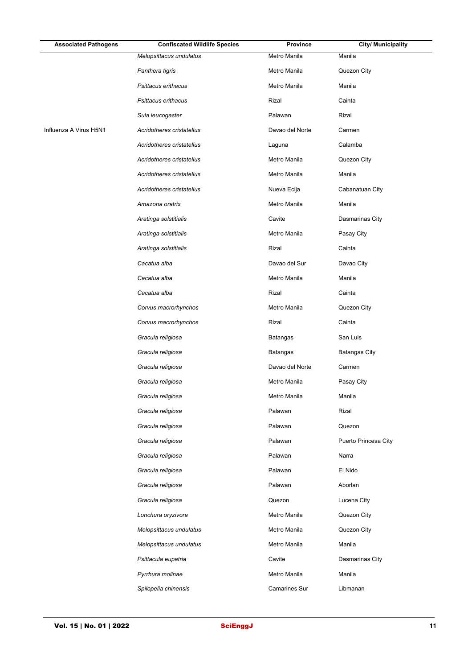| <b>Associated Pathogens</b> | <b>Confiscated Wildlife Species</b> | <b>Province</b> | <b>City/ Municipality</b> |
|-----------------------------|-------------------------------------|-----------------|---------------------------|
|                             | Melopsittacus undulatus             | Metro Manila    | Manila                    |
|                             | Panthera tigris                     | Metro Manila    | Quezon City               |
|                             | Psittacus erithacus                 | Metro Manila    | Manila                    |
|                             | Psittacus erithacus                 | Rizal           | Cainta                    |
|                             | Sula leucogaster                    | Palawan         | Rizal                     |
| Influenza A Virus H5N1      | Acridotheres cristatellus           | Davao del Norte | Carmen                    |
|                             | Acridotheres cristatellus           | Laguna          | Calamba                   |
|                             | Acridotheres cristatellus           | Metro Manila    | Quezon City               |
|                             | Acridotheres cristatellus           | Metro Manila    | Manila                    |
|                             | Acridotheres cristatellus           | Nueva Ecija     | Cabanatuan City           |
|                             | Amazona oratrix                     | Metro Manila    | Manila                    |
|                             | Aratinga solstitialis               | Cavite          | Dasmarinas City           |
|                             | Aratinga solstitialis               | Metro Manila    | Pasay City                |
|                             | Aratinga solstitialis               | Rizal           | Cainta                    |
|                             | Cacatua alba                        | Davao del Sur   | Davao City                |
|                             | Cacatua alba                        | Metro Manila    | Manila                    |
|                             | Cacatua alba                        | Rizal           | Cainta                    |
|                             | Corvus macrorhynchos                | Metro Manila    | Quezon City               |
|                             | Corvus macrorhynchos                | Rizal           | Cainta                    |
|                             | Gracula religiosa                   | <b>Batangas</b> | San Luis                  |
|                             | Gracula religiosa                   | <b>Batangas</b> | <b>Batangas City</b>      |
|                             | Gracula religiosa                   | Davao del Norte | Carmen                    |
|                             | Gracula religiosa                   | Metro Manila    | Pasay City                |
|                             | Gracula religiosa                   | Metro Manila    | Manila                    |
|                             | Gracula religiosa                   | Palawan         | Rizal                     |
|                             | Gracula religiosa                   | Palawan         | Quezon                    |
|                             | Gracula religiosa                   | Palawan         | Puerto Princesa City      |
|                             | Gracula religiosa                   | Palawan         | Narra                     |
|                             | Gracula religiosa                   | Palawan         | El Nido                   |
|                             | Gracula religiosa                   | Palawan         | Aborlan                   |
|                             | Gracula religiosa                   | Quezon          | Lucena City               |
|                             | Lonchura oryzivora                  | Metro Manila    | Quezon City               |
|                             | Melopsittacus undulatus             | Metro Manila    | Quezon City               |
|                             | Melopsittacus undulatus             | Metro Manila    | Manila                    |
|                             | Psittacula eupatria                 | Cavite          | Dasmarinas City           |
|                             | Pyrrhura molinae                    | Metro Manila    | Manila                    |
|                             | Spilopelia chinensis                | Camarines Sur   | Libmanan                  |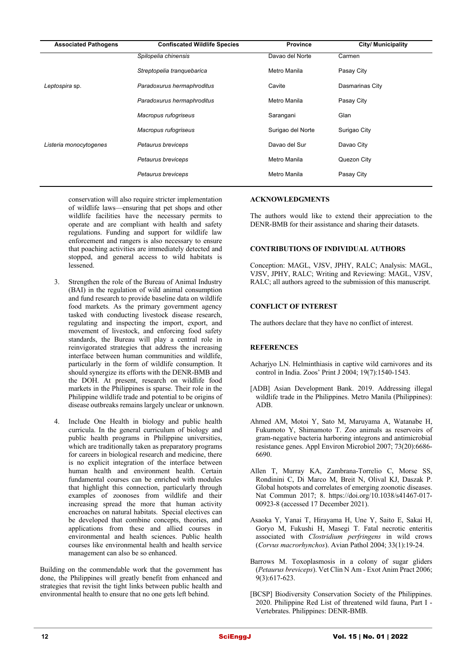| <b>Associated Pathogens</b> | <b>Confiscated Wildlife Species</b> | <b>Province</b>   | <b>City/ Municipality</b> |
|-----------------------------|-------------------------------------|-------------------|---------------------------|
|                             | Spilopelia chinensis                | Davao del Norte   | Carmen                    |
|                             | Streptopelia tranquebarica          | Metro Manila      | Pasay City                |
| Leptospira sp.              | Paradoxurus hermaphroditus          | Cavite            | Dasmarinas City           |
|                             | Paradoxurus hermaphroditus          | Metro Manila      | Pasay City                |
|                             | Macropus rufogriseus                | Sarangani         | Glan                      |
|                             | Macropus rufogriseus                | Surigao del Norte | Surigao City              |
| Listeria monocytogenes      | Petaurus breviceps                  | Davao del Sur     | Davao City                |
|                             | Petaurus breviceps                  | Metro Manila      | Quezon City               |
|                             | Petaurus breviceps                  | Metro Manila      | Pasay City                |
|                             |                                     |                   |                           |

conservation will also require stricter implementation of wildlife laws—ensuring that pet shops and other wildlife facilities have the necessary permits to operate and are compliant with health and safety regulations. Funding and support for wildlife law enforcement and rangers is also necessary to ensure that poaching activities are immediately detected and stopped, and general access to wild habitats is lessened.

- 3. Strengthen the role of the Bureau of Animal Industry (BAI) in the regulation of wild animal consumption and fund research to provide baseline data on wildlife food markets. As the primary government agency tasked with conducting livestock disease research, regulating and inspecting the import, export, and movement of livestock, and enforcing food safety standards, the Bureau will play a central role in reinvigorated strategies that address the increasing interface between human communities and wildlife, particularly in the form of wildlife consumption. It should synergize its efforts with the DENR-BMB and the DOH. At present, research on wildlife food markets in the Philippines is sparse. Their role in the Philippine wildlife trade and potential to be origins of disease outbreaks remains largely unclear or unknown.
- 4. Include One Health in biology and public health curricula. In the general curriculum of biology and public health programs in Philippine universities, which are traditionally taken as preparatory programs for careers in biological research and medicine, there is no explicit integration of the interface between human health and environment health. Certain fundamental courses can be enriched with modules that highlight this connection, particularly through examples of zoonoses from wildlife and their increasing spread the more that human activity encroaches on natural habitats. Special electives can be developed that combine concepts, theories, and applications from these and allied courses in environmental and health sciences. Public health courses like environmental health and health service management can also be so enhanced.

Building on the commendable work that the government has done, the Philippines will greatly benefit from enhanced and strategies that revisit the tight links between public health and environmental health to ensure that no one gets left behind.

# **ACKNOWLEDGMENTS**

The authors would like to extend their appreciation to the DENR-BMB for their assistance and sharing their datasets.

# **CONTRIBUTIONS OF INDIVIDUAL AUTHORS**

Conception: MAGL, VJSV, JPHY, RALC; Analysis: MAGL, VJSV, JPHY, RALC; Writing and Reviewing: MAGL, VJSV, RALC; all authors agreed to the submission of this manuscript.

# **CONFLICT OF INTEREST**

The authors declare that they have no conflict of interest.

#### **REFERENCES**

- Acharjyo LN. Helminthiasis in captive wild carnivores and its control in India. Zoos' Print J 2004; 19(7):1540-1543.
- [ADB] Asian Development Bank. 2019. Addressing illegal wildlife trade in the Philippines. Metro Manila (Philippines): ADB.
- Ahmed AM, Motoi Y, Sato M, Maruyama A, Watanabe H, Fukumoto Y, Shimamoto T. Zoo animals as reservoirs of gram-negative bacteria harboring integrons and antimicrobial resistance genes. Appl Environ Microbiol 2007; 73(20):6686- 6690.
- Allen T, Murray KA, Zambrana-Torrelio C, Morse SS, Rondinini C, Di Marco M, Breit N, Olival KJ, Daszak P. Global hotspots and correlates of emerging zoonotic diseases. Nat Commun 2017; 8. https://doi.org/10.1038/s41467-017- 00923-8 (accessed 17 December 2021).
- Asaoka Y, Yanai T, Hirayama H, Une Y, Saito E, Sakai H, Goryo M, Fukushi H, Masegi T. Fatal necrotic enteritis associated with *Clostridium perfringens* in wild crows (*Corvus macrorhynchos*). Avian Pathol 2004; 33(1):19-24.
- Barrows M. Toxoplasmosis in a colony of sugar gliders (*Petaurus breviceps*). Vet Clin N Am - Exot Anim Pract 2006; 9(3):617-623.
- [BCSP] Biodiversity Conservation Society of the Philippines. 2020. Philippine Red List of threatened wild fauna, Part I - Vertebrates. Philippines: DENR-BMB.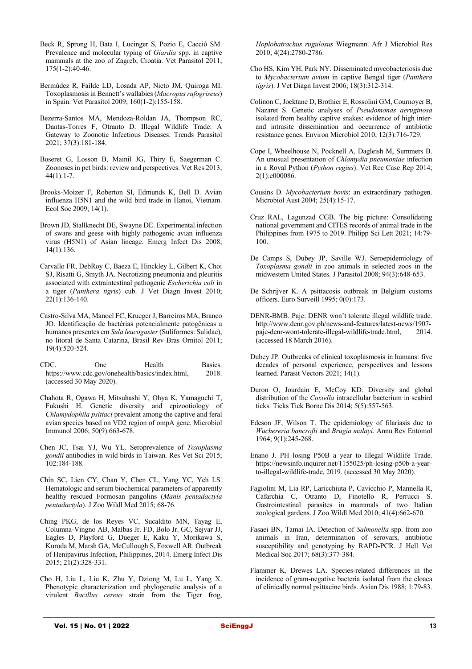- Beck R, Sprong H, Bata I, Lucinger S, Pozio E, Cacciò SM. Prevalence and molecular typing of *Giardia* spp. in captive mammals at the zoo of Zagreb, Croatia. Vet Parasitol 2011; 175(1-2):40-46.
- Bermúdez R, Faílde LD, Losada AP, Nieto JM, Quiroga MI. Toxoplasmosis in Bennett's wallabies (*Macropus rufogriseus*) in Spain. Vet Parasitol 2009; 160(1-2):155-158.
- Bezerra-Santos MA, Mendoza-Roldan JA, Thompson RC, Dantas-Torres F, Otranto D. Illegal Wildlife Trade: A Gateway to Zoonotic Infectious Diseases. Trends Parasitol 2021; 37(3):181-184.
- Boseret G, Losson B, Mainil JG, Thiry E, Saegerman C. Zoonoses in pet birds: review and perspectives. Vet Res 2013;  $44(1):1-7.$
- Brooks-Moizer F, Roberton SI, Edmunds K, Bell D. Avian influenza H5N1 and the wild bird trade in Hanoi, Vietnam. Ecol Soc 2009; 14(1).
- Brown JD, Stallknecht DE, Swayne DE. Experimental infection of swans and geese with highly pathogenic avian influenza virus (H5N1) of Asian lineage. Emerg Infect Dis 2008; 14(1):136.
- Carvallo FR, DebRoy C, Baeza E, Hinckley L, Gilbert K, Choi SJ, Risatti G, Smyth JA. Necrotizing pneumonia and pleuritis associated with extraintestinal pathogenic *Escherichia coli* in a tiger (*Panthera tigris*) cub. J Vet Diagn Invest 2010; 22(1):136-140.
- Castro-Silva MA, Manoel FC, Krueger J, Barreiros MA, Branco JO. Identificação de bactérias potencialmente patogênicas a humanos presentes em *Sula leucogaster*(Suliformes: Sulidae), no litoral de Santa Catarina, Brasil Rev Bras Ornitol 2011; 19(4):520-524.
- CDC. One Health Basics. https://www.cdc.gov/onehealth/basics/index.html, 2018. (accessed 30 May 2020).
- Chahota R, Ogawa H, Mitsuhashi Y, Ohya K, Yamaguchi T, Fukushi H. Genetic diversity and epizootiology of *Chlamydophila psittaci* prevalent among the captive and feral avian species based on VD2 region of ompA gene. Microbiol Immunol 2006; 50(9):663-678.
- Chen JC, Tsai YJ, Wu YL. Seroprevalence of *Toxoplasma gondii* antibodies in wild birds in Taiwan. Res Vet Sci 2015; 102:184-188.
- Chin SC, Lien CY, Chan Y, Chen CL, Yang YC, Yeh LS. Hematologic and serum biochemical parameters of apparently healthy rescued Formosan pangolins (*Manis pentadactyla pentadactyla*). J Zoo Wildl Med 2015; 68-76.
- Ching PKG, de los Reyes VC, Sucaldito MN, Tayag E, Columna-Vingno AB, Malbas Jr. FD, Bolo Jr. GC, Sejvar JJ, Eagles D, Playford G, Dueger E, Kaku Y, Morikawa S, Kuroda M, Marsh GA, McCullough S, Foxwell AR. Outbreak of Henipavirus Infection, Philippines, 2014. Emerg Infect Dis 2015; 21(2):328-331.
- Cho H, Liu L, Liu K, Zhu Y, Dziong M, Lu L, Yang X. Phenotypic characterization and phylogenetic analysis of a virulent *Bacillus cereus* strain from the Tiger frog,

*Hoplobatrachus rugulosus* Wiegmann. Afr J Microbiol Res 2010; 4(24):2780-2786.

- Cho HS, Kim YH, Park NY. Disseminated mycobacteriosis due to *Mycobacterium avium* in captive Bengal tiger (*Panthera tigris*). J Vet Diagn Invest 2006; 18(3):312-314.
- Colinon C, Jocktane D, Brothier E, Rossolini GM, Cournoyer B, Nazaret S. Genetic analyses of *Pseudomonas aeruginosa* isolated from healthy captive snakes: evidence of high interand intrasite dissemination and occurrence of antibiotic resistance genes. Environ Microbiol 2010; 12(3):716-729.
- Cope I, Wheelhouse N, Pocknell A, Dagleish M, Summers B. An unusual presentation of *Chlamydia pneumoniae* infection in a Royal Python (*Python regius*). Vet Rec Case Rep 2014; 2(1):e000086.
- Cousins D. *Mycobacterium bovis*: an extraordinary pathogen. Microbiol Aust 2004; 25(4):15-17.
- Cruz RAL, Lagunzad CGB. The big picture: Consolidating national government and CITES records of animal trade in the Philippines from 1975 to 2019. Philipp Sci Lett 2021; 14:79- 100.
- De Camps S, Dubey JP, Saville WJ. Seroepidemiology of *Toxoplasma gondii* in zoo animals in selected zoos in the midwestern United States. J Parasitol 2008; 94(3):648-653.
- De Schrijver K. A psittacosis outbreak in Belgium customs officers. Euro Surveill 1995; 0(0):173.
- DENR-BMB. Paje: DENR won't tolerate illegal wildlife trade. http://www.denr.gov.ph/news-and-features/latest-news/1907 paje-denr-wont-tolerate-illegal-wildlife-trade.html, 2014. (accessed 18 March 2016).
- Dubey JP. Outbreaks of clinical toxoplasmosis in humans: five decades of personal experience, perspectives and lessons learned. Parasit Vectors 2021; 14(1).
- Duron O, Jourdain E, McCoy KD. Diversity and global distribution of the *Coxiella* intracellular bacterium in seabird ticks. Ticks Tick Borne Dis 2014; 5(5):557-563.
- Edeson JF, Wilson T. The epidemiology of filariasis due to *Wuchereria bancrofti* and *Brugia malayi*. Annu Rev Entomol 1964; 9(1):245-268.
- Enano J. PH losing P50B a year to Illegal Wildlife Trade. https://newsinfo.inquirer.net/1155025/ph-losing-p50b-a-yearto-illegal-wildlife-trade, 2019. (accessed 30 May 2020).
- Fagiolini M, Lia RP, Laricchiuta P, Cavicchio P, Mannella R, Cafarchia C, Otranto D, Finotello R, Perrucci S. Gastrointestinal parasites in mammals of two Italian zoological gardens. J Zoo Wildl Med 2010; 41(4):662-670.
- Fasaei BN, Tamai IA. Detection of *Salmonella* spp. from zoo animals in Iran, determination of serovars, antibiotic susceptibility and genotyping by RAPD-PCR. J Hell Vet Medical Soc 2017; 68(3):377-384.
- Flammer K, Drewes LA. Species-related differences in the incidence of gram-negative bacteria isolated from the cloaca of clinically normal psittacine birds. Avian Dis 1988; 1:79-83.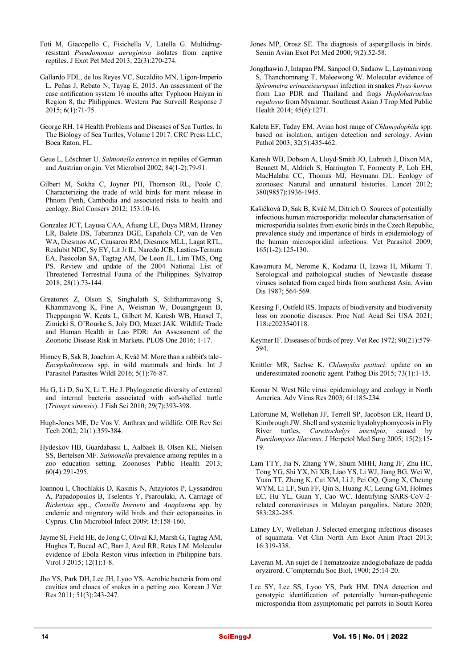- Foti M, Giacopello C, Fisichella V, Latella G. Multidrugresistant *Pseudomonas aeruginosa* isolates from captive reptiles. J Exot Pet Med 2013; 22(3):270-274.
- Gallardo FDL, de los Reyes VC, Sucaldito MN, Ligon-Imperio L, Peñas J, Rebato N, Tayag E, 2015. An assessment of the case notification system 16 months after Typhoon Haiyan in Region 8, the Philippines. Western Pac Surveill Response J 2015; 6(1):71-75.
- George RH. 14 Health Problems and Diseases of Sea Turtles. In The Biology of Sea Turtles, Volume I 2017. CRC Press LLC, Boca Raton, FL.
- Geue L, Löschner U. *Salmonella enterica* in reptiles of German and Austrian origin. Vet Microbiol 2002; 84(1-2):79-91.
- Gilbert M, Sokha C, Joyner PH, Thomson RL, Poole C. Characterizing the trade of wild birds for merit release in Phnom Penh, Cambodia and associated risks to health and ecology. Biol Conserv 2012; 153:10-16.
- Gonzalez JCT, Layusa CAA, Afuang LE, Duya MRM, Heaney LR, Balete DS, Tabaranza DGE, Española CP, van de Ven WA, Diesmos AC, Causaren RM, Diesmos MLL, Lagat RTL, Realubit NDC, Sy EY, Lit Jr IL, Naredo JCB, Lastica-Ternura EA, Pasicolan SA, Tagtag AM, De Leon JL, Lim TMS, Ong PS. Review and update of the 2004 National List of Threatened Terrestrial Fauna of the Philippines. Sylvatrop 2018; 28(1):73-144.
- Greatorex Z, Olson S, Singhalath S, Silithammavong S, Khammavong K, Fine A, Weisman W, Douangngeun B, Theppangna W, Keats L, Gilbert M, Karesh WB, Hansel T, Zimicki S, O'Rourke S, Joly DO, Mazet JAK. Wildlife Trade and Human Health in Lao PDR: An Assessment of the Zoonotic Disease Risk in Markets. PLOS One 2016; 1-17.
- Hinney B, Sak B, Joachim A, Kváč M. More than a rabbit's tale– *Encephalitozoon* spp. in wild mammals and birds. Int J Parasitol Parasites Wildl 2016; 5(1):76-87.
- Hu G, Li D, Su X, Li T, He J. Phylogenetic diversity of external and internal bacteria associated with soft-shelled turtle (*Trionyx sinensis*). J Fish Sci 2010; 29(7):393-398.
- Hugh-Jones ME, De Vos V. Anthrax and wildlife. OIE Rev Sci Tech 2002; 21(1):359-384.
- Hydeskov HB, Guardabassi L, Aalbaek B, Olsen KE, Nielsen SS, Bertelsen MF. *Salmonella* prevalence among reptiles in a zoo education setting. Zoonoses Public Health 2013; 60(4):291-295.
- Ioannou I, Chochlakis D, Kasinis N, Anayiotos P, Lyssandrou A, Papadopoulos B, Tselentis Y, Psaroulaki, A. Carriage of *Rickettsia* spp., *Coxiella burnetii* and *Anaplasma* spp. by endemic and migratory wild birds and their ectoparasites in Cyprus. Clin Microbiol Infect 2009; 15:158-160.
- Jayme SI, Field HE, de Jong C, Olival KJ, Marsh G, Tagtag AM, Hughes T, Bucad AC, Barr J, Azul RR, Retes LM. Molecular evidence of Ebola Reston virus infection in Philippine bats. Virol J 2015; 12(1):1-8.
- Jho YS, Park DH, Lee JH, Lyoo YS. Aerobic bacteria from oral cavities and cloaca of snakes in a petting zoo. Korean J Vet Res 2011; 51(3):243-247.
- Jones MP, Orosz SE. The diagnosis of aspergillosis in birds. Semin Avian Exot Pet Med 2000; 9(2):52-58.
- Jongthawin J, Intapan PM, Sanpool O, Sadaow L, Laymanivong S, Thanchomnang T, Maleewong W. Molecular evidence of *Spirometra erinaceieuropaei* infection in snakes *Ptyas korros* from Lao PDR and Thailand and frogs *Hoplobatrachus rugulosus* from Myanmar. Southeast Asian J Trop Med Public Health 2014; 45(6):1271.
- Kaleta EF, Taday EM. Avian host range of *Chlamydophila* spp. based on isolation, antigen detection and serology. Avian Pathol 2003; 32(5):435-462.
- Karesh WB, Dobson A, Lloyd-Smith JO, Lubroth J, Dixon MA, Bennett M, Aldrich S, Harrington T, Formenty P, Loh EH, MacHalaba CC, Thomas MJ, Heymann DL. Ecology of zoonoses: Natural and unnatural histories. Lancet 2012; 380(9857):1936-1945.
- Kašičková D, Sak B, Kváč M, Ditrich O. Sources of potentially infectious human microsporidia: molecular characterisation of microsporidia isolates from exotic birds in the Czech Republic, prevalence study and importance of birds in epidemiology of the human microsporidial infections. Vet Parasitol 2009; 165(1-2):125-130.
- Kawamura M, Nerome K, Kodama H, Izawa H, Mikami T. Serological and pathological studies of Newcastle disease viruses isolated from caged birds from southeast Asia. Avian Dis 1987; 564-569.
- Keesing F, Ostfeld RS. Impacts of biodiversity and biodiversity loss on zoonotic diseases. Proc Natl Acad Sci USA 2021; 118:e2023540118.
- Keymer IF. Diseases of birds of prey. Vet Rec 1972; 90(21):579- 594.
- Knittler MR, Sachse K. *Chlamydia psittaci*: update on an underestimated zoonotic agent. Pathog Dis 2015; 73(1):1-15.
- Komar N. West Nile virus: epidemiology and ecology in North America. Adv Virus Res 2003; 61:185-234.
- Lafortune M, Wellehan JF, Terrell SP, Jacobson ER, Heard D, Kimbrough JW. Shell and systemic hyalohyphomycosis in Fly River turtles, *Carettochelys insculpta*, caused by *Paecilomyces lilacinus*. J Herpetol Med Surg 2005; 15(2):15- 19.
- Lam TTY, Jia N, Zhang YW, Shum MHH, Jiang JF, Zhu HC, Tong YG, Shi YX, Ni XB, Liao YS, Li WJ, Jiang BG, Wei W, Yuan TT, Zheng K, Cui XM, Li J, Pei GQ, Qiang X, Cheung WYM, Li LF, Sun FF, Qin S, Huang JC, Leung GM, Holmes EC, Hu YL, Guan Y, Cao WC. Identifying SARS-CoV-2 related coronaviruses in Malayan pangolins. Nature 2020; 583:282-285.
- Latney LV, Wellehan J. Selected emerging infectious diseases of squamata. Vet Clin North Am Exot Anim Pract 2013; 16:319-338.
- Laveran M. An sujet de I hematzoaize andoglobaliaze de padda oryzirord. C'ompterndu Soc Biol, 1900; 25:14-20.
- Lee SY, Lee SS, Lyoo YS, Park HM. DNA detection and genotypic identification of potentially human-pathogenic microsporidia from asymptomatic pet parrots in South Korea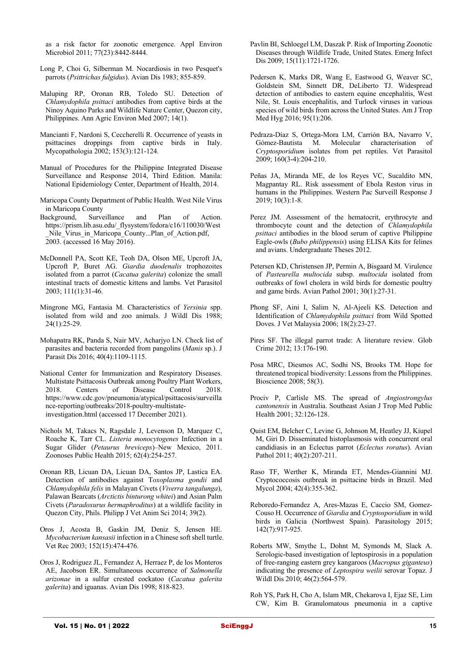as a risk factor for zoonotic emergence. Appl Environ Microbiol 2011; 77(23):8442-8444.

- Long P, Choi G, Silberman M. Nocardiosis in two Pesquet's parrots (*Psittrichas fulgidus*). Avian Dis 1983; 855-859.
- Maluping RP, Oronan RB, Toledo SU. Detection of *Chlamydophila psittaci* antibodies from captive birds at the Ninoy Aquino Parks and Wildlife Nature Center, Quezon city, Philippines. Ann Agric Environ Med 2007; 14(1).
- Mancianti F, Nardoni S, Ceccherelli R. Occurrence of yeasts in psittacines droppings from captive birds in Italy. Mycopathologia 2002; 153(3):121-124.
- Manual of Procedures for the Philippine Integrated Disease Surveillance and Response 2014, Third Edition. Manila: National Epidemiology Center, Department of Health, 2014.
- Maricopa County Department of Public Health. West Nile Virus in Maricopa County
- Background, Surveillance and Plan of Action. https://prism.lib.asu.edu/\_flysystem/fedora/c16/110030/West \_Nile\_Virus\_in\_Maricopa\_County...Plan\_of\_Action.pdf, 2003. (accessed 16 May 2016).
- McDonnell PA, Scott KE, Teoh DA, Olson ME, Upcroft JA, Upcroft P, Buret AG. *Giardia duodenalis* trophozoites isolated from a parrot (*Cacatua galerita*) colonize the small intestinal tracts of domestic kittens and lambs. Vet Parasitol 2003; 111(1):31-46.
- Mingrone MG, Fantasia M. Characteristics of *Yersinia* spp. isolated from wild and zoo animals. J Wildl Dis 1988; 24(1):25-29.
- Mohapatra RK, Panda S, Nair MV, Acharjyo LN. Check list of parasites and bacteria recorded from pangolins (*Manis* sp.). J Parasit Dis 2016; 40(4):1109-1115.
- National Center for Immunization and Respiratory Diseases. Multistate Psittacosis Outbreak among Poultry Plant Workers, 2018. Centers of Disease Control 2018. https://www.cdc.gov/pneumonia/atypical/psittacosis/surveilla nce-reporting/outbreaks/2018-poultry-multistateinvestigation.html (accessed 17 December 2021).
- Nichols M, Takacs N, Ragsdale J, Levenson D, Marquez C, Roache K, Tarr CL. *Listeria monocytogenes* Infection in a Sugar Glider (*Petaurus breviceps*)–New Mexico, 2011. Zoonoses Public Health 2015; 62(4):254-257.
- Oronan RB, Licuan DA, Licuan DA, Santos JP, Lastica EA. Detection of antibodies against T*oxoplasma gondii* and *Chlamydophila felis* in Malayan Civets (*Viverra tangalunga*), Palawan Bearcats (*Arctictis binturong whitei*) and Asian Palm Civets (*Paradoxurus hermaphroditus*) at a wildlife facility in Quezon City, Phils. Philipp J Vet Anim Sci 2014; 39(2).
- Oros J, Acosta B, Gaskin JM, Deniz S, Jensen HE. *Mycobacterium kansasii* infection in a Chinese soft shell turtle. Vet Rec 2003; 152(15):474-476.
- Oros J, Rodriguez JL, Fernandez A, Herraez P, de los Monteros AE, Jacobson ER. Simultaneous occurrence of *Salmonella arizonae* in a sulfur crested cockatoo (*Cacatua galerita galerita*) and iguanas. Avian Dis 1998; 818-823.
- Pavlin BI, Schloegel LM, Daszak P. Risk of Importing Zoonotic Diseases through Wildlife Trade, United States. Emerg Infect Dis 2009; 15(11):1721-1726.
- Pedersen K, Marks DR, Wang E, Eastwood G, Weaver SC, Goldstein SM, Sinnett DR, DeLiberto TJ. Widespread detection of antibodies to eastern equine encephalitis, West Nile, St. Louis encephalitis, and Turlock viruses in various species of wild birds from across the United States. Am J Trop Med Hyg 2016; 95(1):206.
- Pedraza-Díaz S, Ortega-Mora LM, Carrión BA, Navarro V, Gómez-Bautista M. Molecular characterisation of *Cryptosporidium* isolates from pet reptiles. Vet Parasitol 2009; 160(3-4):204-210.
- Peñas JA, Miranda ME, de los Reyes VC, Sucaldito MN, Magpantay RL. Risk assessment of Ebola Reston virus in humans in the Philippines. Western Pac Surveill Response J 2019; 10(3):1-8.
- Perez JM. Assessment of the hematocrit, erythrocyte and thrombocyte count and the detection of *Chlamydophila psittaci* antibodies in the blood serum of captive Philippine Eagle-owls (*Bubo philippensis*) using ELISA Kits for felines and avians. Undergraduate Theses 2012.
- Petersen KD, Christensen JP, Permin A, Bisgaard M. Virulence of *Pasteurella multocida* subsp. *multocida* isolated from outbreaks of fowl cholera in wild birds for domestic poultry and game birds. Avian Pathol 2001; 30(1):27-31.
- Phong SF, Aini I, Salim N, Al-Ajeeli KS. Detection and Identification of *Chlamydophila psittaci* from Wild Spotted Doves. J Vet Malaysia 2006; 18(2):23-27.
- Pires SF. The illegal parrot trade: A literature review. Glob Crime 2012; 13:176-190.
- Posa MRC, Diesmos AC, Sodhi NS, Brooks TM. Hope for threatened tropical biodiversity: Lessons from the Philippines. Bioscience 2008; 58(3).
- Prociv P, Carlisle MS. The spread of *Angiostrongylus cantonensis* in Australia. Southeast Asian J Trop Med Public Health 2001; 32:126-128.
- Quist EM, Belcher C, Levine G, Johnson M, Heatley JJ, Kiupel M, Giri D. Disseminated histoplasmosis with concurrent oral candidiasis in an Eclectus parrot (*Eclectus roratus*). Avian Pathol 2011; 40(2):207-211.
- Raso TF, Werther K, Miranda ET, Mendes-Giannini MJ. Cryptococcosis outbreak in psittacine birds in Brazil. Med Mycol 2004; 42(4):355-362.
- Reboredo-Fernandez A, Ares-Mazas E, Caccio SM, Gomez-Couso H. Occurrence of *Giardia* and *Cryptosporidium* in wild birds in Galicia (Northwest Spain). Parasitology 2015; 142(7):917-925.
- Roberts MW, Smythe L, Dohnt M, Symonds M, Slack A. Serologic-based investigation of leptospirosis in a population of free-ranging eastern grey kangaroos (*Macropus giganteus*) indicating the presence of *Leptospira weilii* serovar Topaz. J Wildl Dis 2010; 46(2):564-579.
- Roh YS, Park H, Cho A, Islam MR, Chekarova I, Ejaz SE, Lim CW, Kim B. Granulomatous pneumonia in a captive